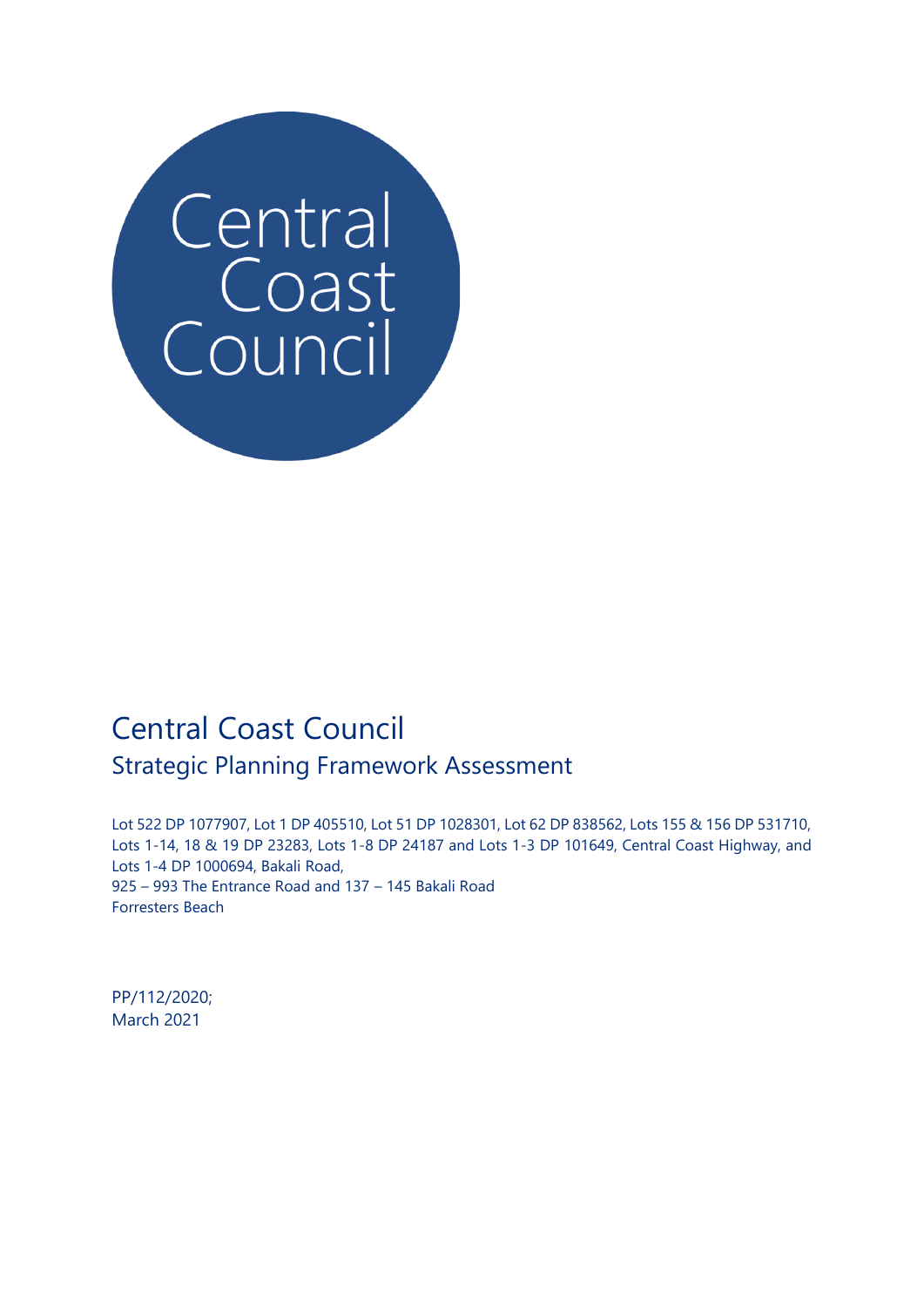

# Central Coast Council Strategic Planning Framework Assessment

Lot 522 DP 1077907, Lot 1 DP 405510, Lot 51 DP 1028301, Lot 62 DP 838562, Lots 155 & 156 DP 531710, Lots 1-14, 18 & 19 DP 23283, Lots 1-8 DP 24187 and Lots 1-3 DP 101649, Central Coast Highway, and Lots 1-4 DP 1000694, Bakali Road, 925 – 993 The Entrance Road and 137 – 145 Bakali Road Forresters Beach

PP/112/2020; March 2021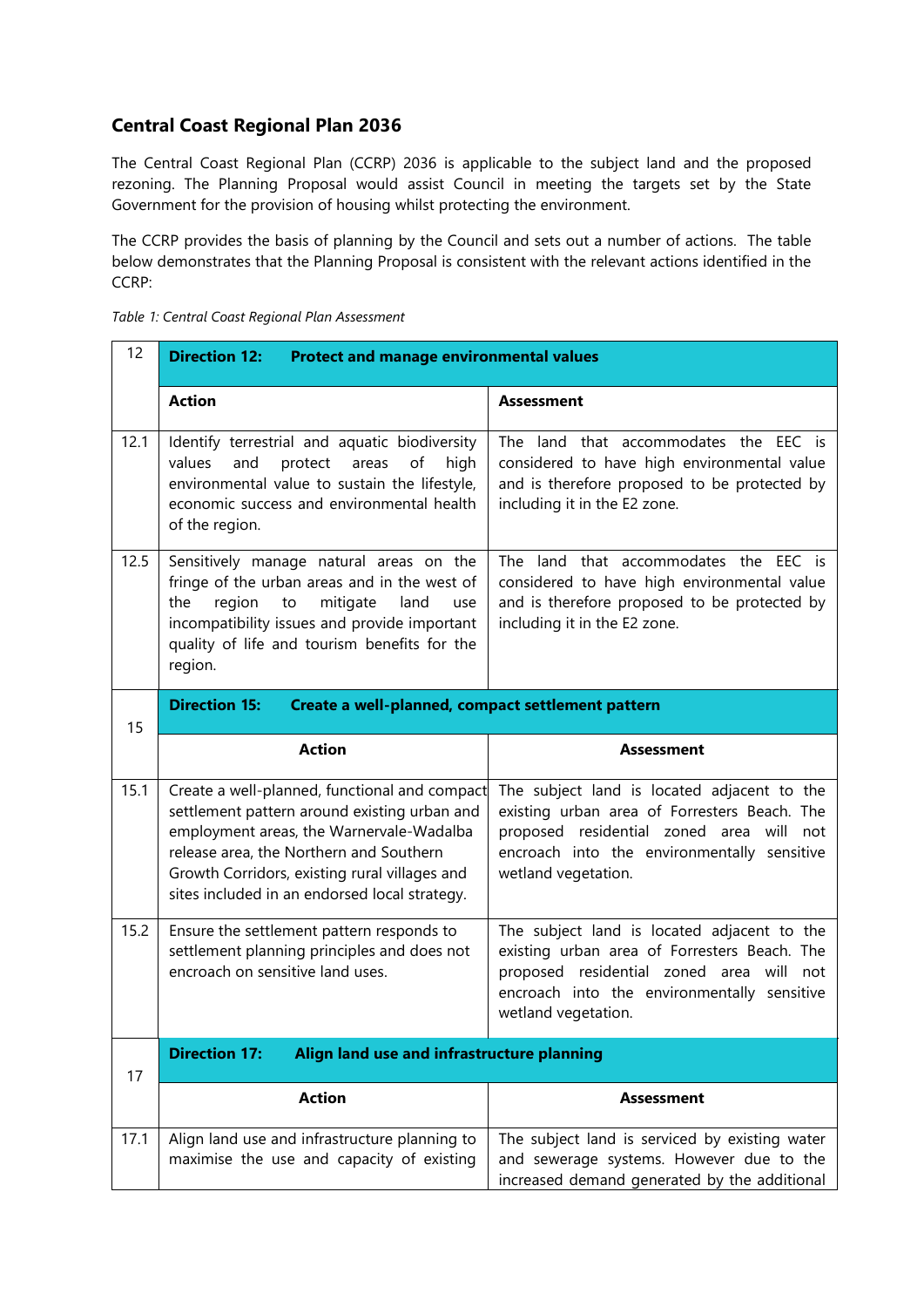## **Central Coast Regional Plan 2036**

The Central Coast Regional Plan (CCRP) 2036 is applicable to the subject land and the proposed rezoning. The Planning Proposal would assist Council in meeting the targets set by the State Government for the provision of housing whilst protecting the environment.

The CCRP provides the basis of planning by the Council and sets out a number of actions. The table below demonstrates that the Planning Proposal is consistent with the relevant actions identified in the CCRP:

| 12   | <b>Direction 12:</b><br><b>Protect and manage environmental values</b>                                                                                                                                                                                                                 |                                                                                                                                                                                                                                                                                                                                              |  |
|------|----------------------------------------------------------------------------------------------------------------------------------------------------------------------------------------------------------------------------------------------------------------------------------------|----------------------------------------------------------------------------------------------------------------------------------------------------------------------------------------------------------------------------------------------------------------------------------------------------------------------------------------------|--|
|      | <b>Action</b>                                                                                                                                                                                                                                                                          | <b>Assessment</b>                                                                                                                                                                                                                                                                                                                            |  |
| 12.1 | Identify terrestrial and aquatic biodiversity<br>and<br>values<br>protect<br>areas<br>of<br>high<br>environmental value to sustain the lifestyle,<br>economic success and environmental health<br>of the region.                                                                       | The land that accommodates the EEC is<br>considered to have high environmental value<br>and is therefore proposed to be protected by<br>including it in the E2 zone.<br>The land that accommodates the EEC is<br>considered to have high environmental value<br>and is therefore proposed to be protected by<br>including it in the E2 zone. |  |
| 12.5 | Sensitively manage natural areas on the<br>fringe of the urban areas and in the west of<br>the<br>region<br>mitigate<br>land<br>to<br>use<br>incompatibility issues and provide important<br>quality of life and tourism benefits for the<br>region.                                   |                                                                                                                                                                                                                                                                                                                                              |  |
| 15   | <b>Direction 15:</b><br>Create a well-planned, compact settlement pattern                                                                                                                                                                                                              |                                                                                                                                                                                                                                                                                                                                              |  |
|      | <b>Action</b>                                                                                                                                                                                                                                                                          | <b>Assessment</b>                                                                                                                                                                                                                                                                                                                            |  |
| 15.1 | Create a well-planned, functional and compact<br>settlement pattern around existing urban and<br>employment areas, the Warnervale-Wadalba<br>release area, the Northern and Southern<br>Growth Corridors, existing rural villages and<br>sites included in an endorsed local strategy. | The subject land is located adjacent to the<br>existing urban area of Forresters Beach. The<br>proposed residential zoned area will not<br>encroach into the environmentally sensitive<br>wetland vegetation.                                                                                                                                |  |
| 15.2 | Ensure the settlement pattern responds to<br>settlement planning principles and does not<br>encroach on sensitive land uses.                                                                                                                                                           | The subject land is located adjacent to the<br>existing urban area of Forresters Beach. The<br>proposed residential zoned area will<br>not<br>encroach into the environmentally sensitive<br>wetland vegetation.                                                                                                                             |  |
| 17   | <b>Direction 17:</b><br>Align land use and infrastructure planning                                                                                                                                                                                                                     |                                                                                                                                                                                                                                                                                                                                              |  |
|      | <b>Action</b>                                                                                                                                                                                                                                                                          | Assessment                                                                                                                                                                                                                                                                                                                                   |  |
| 17.1 | Align land use and infrastructure planning to<br>maximise the use and capacity of existing                                                                                                                                                                                             | The subject land is serviced by existing water<br>and sewerage systems. However due to the<br>increased demand generated by the additional                                                                                                                                                                                                   |  |

*Table 1: Central Coast Regional Plan Assessment*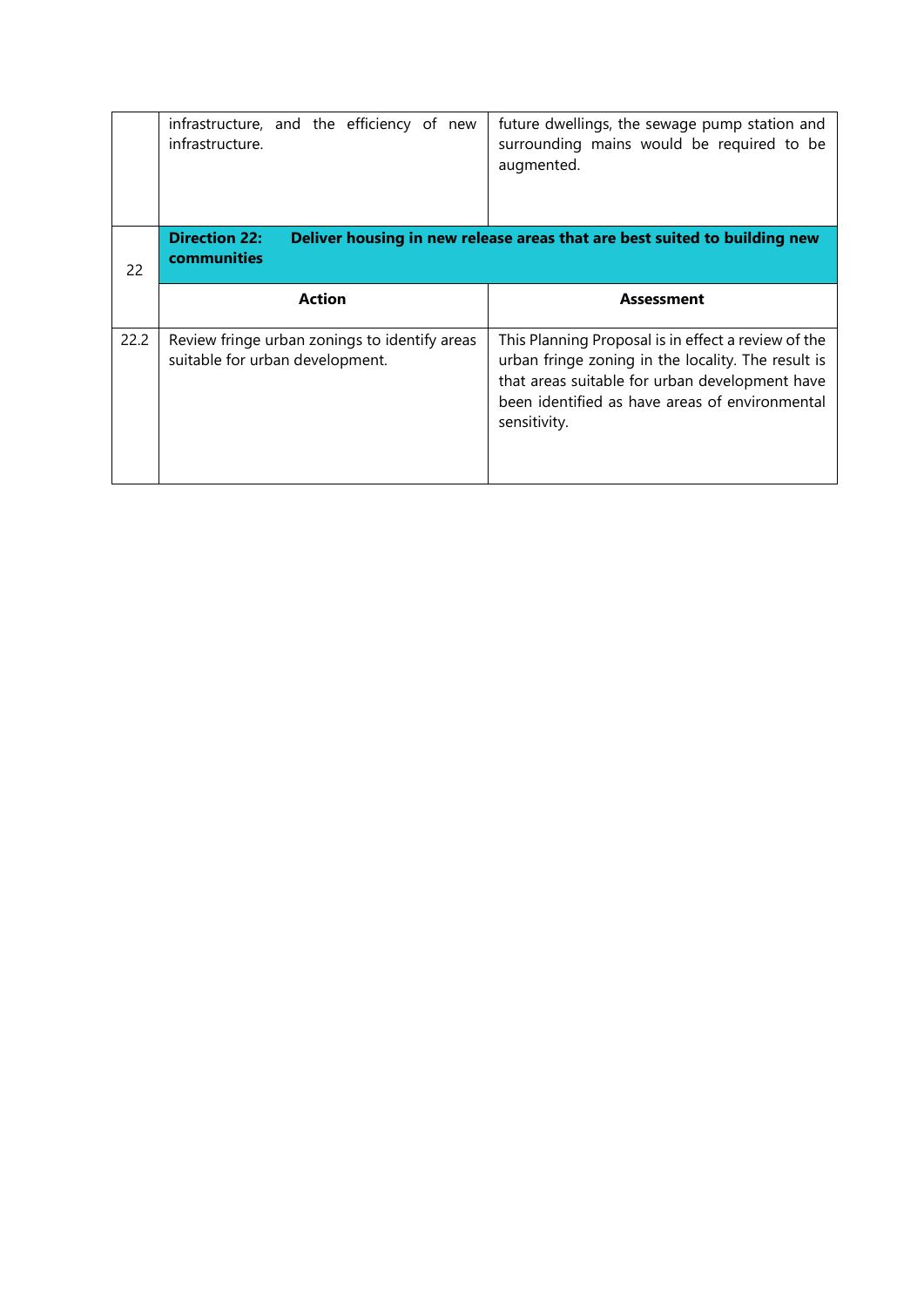|    | infrastructure, and the efficiency of new<br>infrastructure. | future dwellings, the sewage pump station and<br>surrounding mains would be required to be<br>augmented. |
|----|--------------------------------------------------------------|----------------------------------------------------------------------------------------------------------|
| 22 | <b>Direction 22:</b><br>communities                          | Deliver housing in new release areas that are best suited to building new                                |
|    | <b>Action</b>                                                | <b>Assessment</b>                                                                                        |
|    |                                                              |                                                                                                          |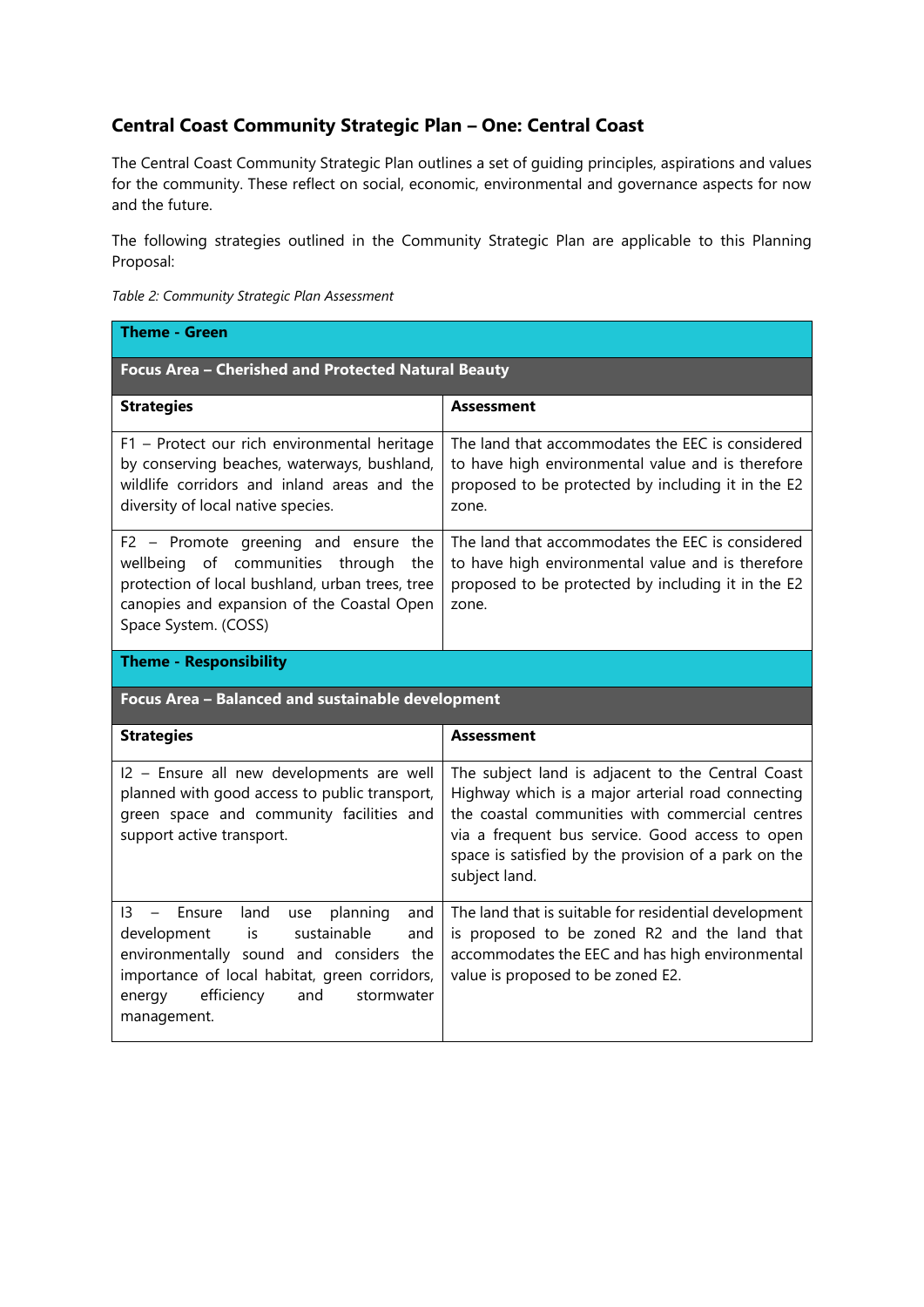## **Central Coast Community Strategic Plan – One: Central Coast**

The Central Coast Community Strategic Plan outlines a set of guiding principles, aspirations and values for the community. These reflect on social, economic, environmental and governance aspects for now and the future.

The following strategies outlined in the Community Strategic Plan are applicable to this Planning Proposal:

| Table 2: Community Strategic Plan Assessment |
|----------------------------------------------|
| Theme - Green                                |

| Focus Area - Cherished and Protected Natural Beauty                                                                                                                                                      |                                                                                                                                                                      |  |  |
|----------------------------------------------------------------------------------------------------------------------------------------------------------------------------------------------------------|----------------------------------------------------------------------------------------------------------------------------------------------------------------------|--|--|
| <b>Strategies</b>                                                                                                                                                                                        | <b>Assessment</b>                                                                                                                                                    |  |  |
| F1 - Protect our rich environmental heritage<br>by conserving beaches, waterways, bushland,<br>wildlife corridors and inland areas and the<br>diversity of local native species.                         | The land that accommodates the EEC is considered<br>to have high environmental value and is therefore<br>proposed to be protected by including it in the E2<br>zone. |  |  |
| F2 - Promote greening and ensure the<br>wellbeing of communities through<br>the<br>protection of local bushland, urban trees, tree<br>canopies and expansion of the Coastal Open<br>Space System. (COSS) | The land that accommodates the EEC is considered<br>to have high environmental value and is therefore<br>proposed to be protected by including it in the E2<br>zone. |  |  |
| <b>Theme - Responsibility</b>                                                                                                                                                                            |                                                                                                                                                                      |  |  |
| Focus Area - Balanced and sustainable development                                                                                                                                                        |                                                                                                                                                                      |  |  |
| <b>Strategies</b>                                                                                                                                                                                        | <b>Assessment</b>                                                                                                                                                    |  |  |
| I2 - Ensure all new developments are well<br>planned with good access to public transport,<br>green space and community facilities and                                                                   | The subject land is adjacent to the Central Coast<br>Highway which is a major arterial road connecting<br>the coastal communities with commercial centres            |  |  |
| support active transport.                                                                                                                                                                                | via a frequent bus service. Good access to open<br>space is satisfied by the provision of a park on the<br>subject land.                                             |  |  |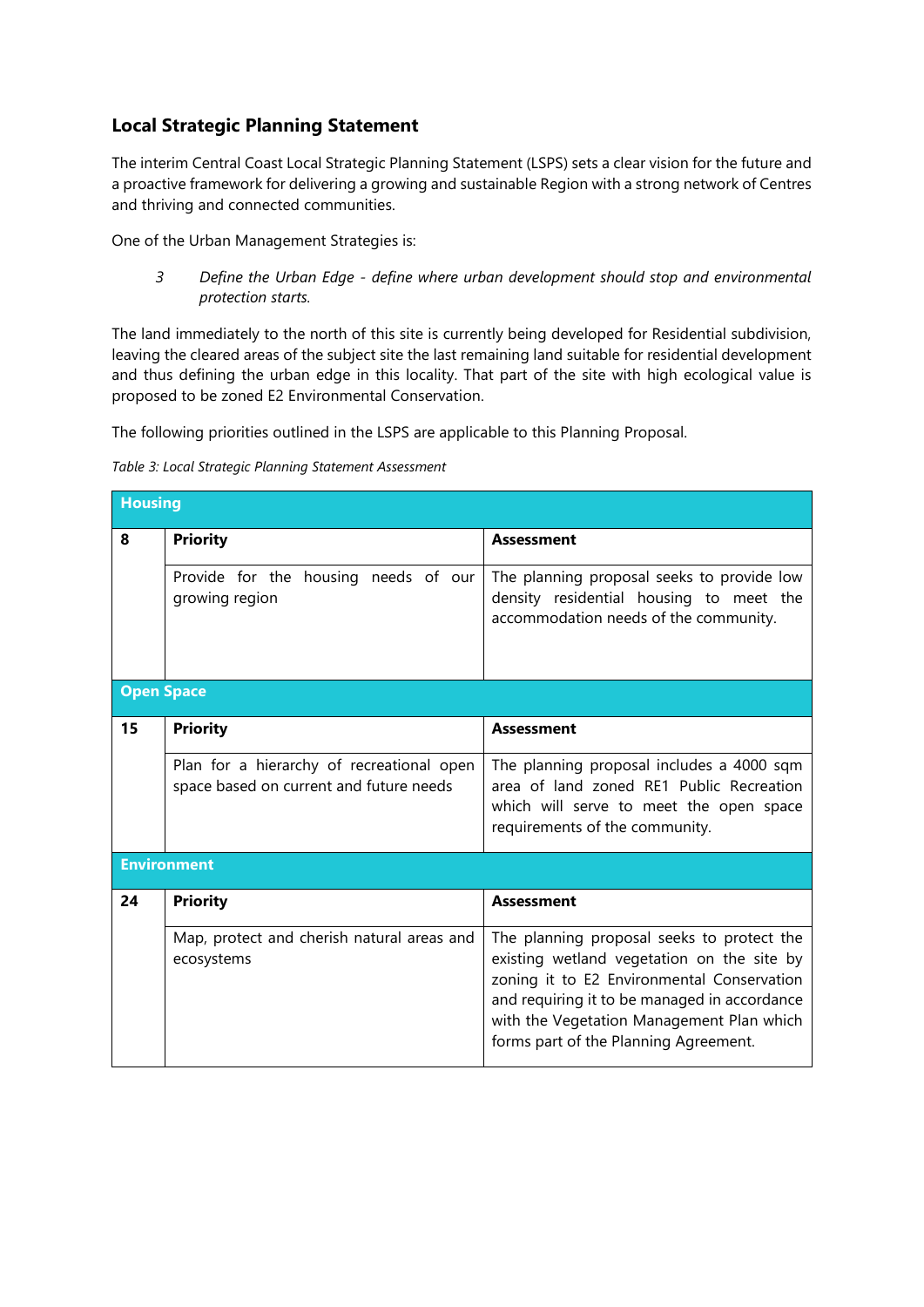## **Local Strategic Planning Statement**

The interim Central Coast Local Strategic Planning Statement (LSPS) sets a clear vision for the future and a proactive framework for delivering a growing and sustainable Region with a strong network of Centres and thriving and connected communities.

One of the Urban Management Strategies is:

*3 Define the Urban Edge - define where urban development should stop and environmental protection starts.*

The land immediately to the north of this site is currently being developed for Residential subdivision, leaving the cleared areas of the subject site the last remaining land suitable for residential development and thus defining the urban edge in this locality. That part of the site with high ecological value is proposed to be zoned E2 Environmental Conservation.

The following priorities outlined in the LSPS are applicable to this Planning Proposal.

*Table 3: Local Strategic Planning Statement Assessment*

|                   | <b>Housing</b>                                                                       |                                                                                                                                                                                                                                                                              |  |  |  |
|-------------------|--------------------------------------------------------------------------------------|------------------------------------------------------------------------------------------------------------------------------------------------------------------------------------------------------------------------------------------------------------------------------|--|--|--|
| 8                 | <b>Priority</b>                                                                      | <b>Assessment</b>                                                                                                                                                                                                                                                            |  |  |  |
|                   | Provide for the housing needs of our<br>growing region                               | The planning proposal seeks to provide low<br>density residential housing to meet the<br>accommodation needs of the community.                                                                                                                                               |  |  |  |
| <b>Open Space</b> |                                                                                      |                                                                                                                                                                                                                                                                              |  |  |  |
| 15                | <b>Priority</b>                                                                      | <b>Assessment</b>                                                                                                                                                                                                                                                            |  |  |  |
|                   | Plan for a hierarchy of recreational open<br>space based on current and future needs | The planning proposal includes a 4000 sqm<br>area of land zoned RE1 Public Recreation<br>which will serve to meet the open space<br>requirements of the community.                                                                                                           |  |  |  |
|                   | <b>Environment</b>                                                                   |                                                                                                                                                                                                                                                                              |  |  |  |
| 24                | <b>Priority</b>                                                                      | <b>Assessment</b>                                                                                                                                                                                                                                                            |  |  |  |
|                   | Map, protect and cherish natural areas and<br>ecosystems                             | The planning proposal seeks to protect the<br>existing wetland vegetation on the site by<br>zoning it to E2 Environmental Conservation<br>and requiring it to be managed in accordance<br>with the Vegetation Management Plan which<br>forms part of the Planning Agreement. |  |  |  |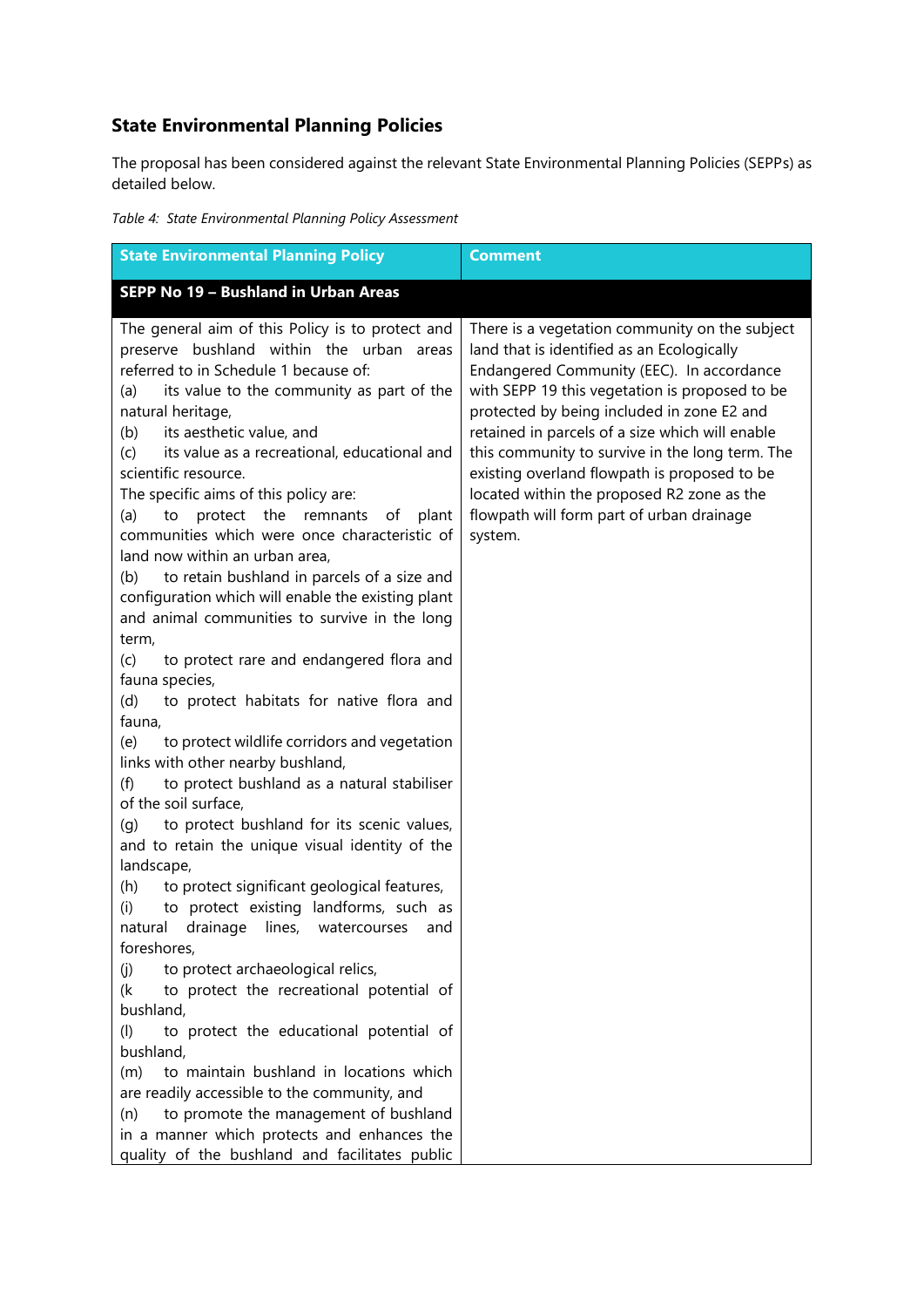# **State Environmental Planning Policies**

The proposal has been considered against the relevant State Environmental Planning Policies (SEPPs) as detailed below.

*Table 4: State Environmental Planning Policy Assessment*

| <b>State Environmental Planning Policy</b>                                                                                                                                                                                                                                                                                                                                                                                                                                                                                                                                                                                                                                                                                                                                                                                  | <b>Comment</b>                                                                                                                                                                                                                                                                                                                                                                                                                                                                                        |
|-----------------------------------------------------------------------------------------------------------------------------------------------------------------------------------------------------------------------------------------------------------------------------------------------------------------------------------------------------------------------------------------------------------------------------------------------------------------------------------------------------------------------------------------------------------------------------------------------------------------------------------------------------------------------------------------------------------------------------------------------------------------------------------------------------------------------------|-------------------------------------------------------------------------------------------------------------------------------------------------------------------------------------------------------------------------------------------------------------------------------------------------------------------------------------------------------------------------------------------------------------------------------------------------------------------------------------------------------|
| SEPP No 19 - Bushland in Urban Areas                                                                                                                                                                                                                                                                                                                                                                                                                                                                                                                                                                                                                                                                                                                                                                                        |                                                                                                                                                                                                                                                                                                                                                                                                                                                                                                       |
| The general aim of this Policy is to protect and<br>preserve bushland within the urban<br>areas<br>referred to in Schedule 1 because of:<br>its value to the community as part of the<br>(a)<br>natural heritage,<br>its aesthetic value, and<br>(b)<br>its value as a recreational, educational and<br>(c)<br>scientific resource.<br>The specific aims of this policy are:<br>protect the remnants<br>(a)<br>to<br>οf<br>plant<br>communities which were once characteristic of<br>land now within an urban area,<br>to retain bushland in parcels of a size and<br>(b)<br>configuration which will enable the existing plant<br>and animal communities to survive in the long<br>term,<br>(c)<br>to protect rare and endangered flora and<br>fauna species,<br>to protect habitats for native flora and<br>(d)<br>fauna, | There is a vegetation community on the subject<br>land that is identified as an Ecologically<br>Endangered Community (EEC). In accordance<br>with SEPP 19 this vegetation is proposed to be<br>protected by being included in zone E2 and<br>retained in parcels of a size which will enable<br>this community to survive in the long term. The<br>existing overland flowpath is proposed to be<br>located within the proposed R2 zone as the<br>flowpath will form part of urban drainage<br>system. |
| to protect wildlife corridors and vegetation<br>(e)<br>links with other nearby bushland,                                                                                                                                                                                                                                                                                                                                                                                                                                                                                                                                                                                                                                                                                                                                    |                                                                                                                                                                                                                                                                                                                                                                                                                                                                                                       |
| to protect bushland as a natural stabiliser<br>(f)<br>of the soil surface,                                                                                                                                                                                                                                                                                                                                                                                                                                                                                                                                                                                                                                                                                                                                                  |                                                                                                                                                                                                                                                                                                                                                                                                                                                                                                       |
| to protect bushland for its scenic values,<br>(g)<br>and to retain the unique visual identity of the<br>landscape,                                                                                                                                                                                                                                                                                                                                                                                                                                                                                                                                                                                                                                                                                                          |                                                                                                                                                                                                                                                                                                                                                                                                                                                                                                       |
| to protect significant geological features,<br>(h)<br>to protect existing landforms, such as<br>(i)<br>drainage<br>lines,<br>natural<br>watercourses<br>and<br>foreshores,                                                                                                                                                                                                                                                                                                                                                                                                                                                                                                                                                                                                                                                  |                                                                                                                                                                                                                                                                                                                                                                                                                                                                                                       |
| to protect archaeological relics,<br>(j)<br>to protect the recreational potential of<br>(k<br>bushland,                                                                                                                                                                                                                                                                                                                                                                                                                                                                                                                                                                                                                                                                                                                     |                                                                                                                                                                                                                                                                                                                                                                                                                                                                                                       |
| to protect the educational potential of<br>(1)<br>bushland,                                                                                                                                                                                                                                                                                                                                                                                                                                                                                                                                                                                                                                                                                                                                                                 |                                                                                                                                                                                                                                                                                                                                                                                                                                                                                                       |
| to maintain bushland in locations which<br>(m)<br>are readily accessible to the community, and<br>to promote the management of bushland<br>(n)<br>in a manner which protects and enhances the                                                                                                                                                                                                                                                                                                                                                                                                                                                                                                                                                                                                                               |                                                                                                                                                                                                                                                                                                                                                                                                                                                                                                       |
| quality of the bushland and facilitates public                                                                                                                                                                                                                                                                                                                                                                                                                                                                                                                                                                                                                                                                                                                                                                              |                                                                                                                                                                                                                                                                                                                                                                                                                                                                                                       |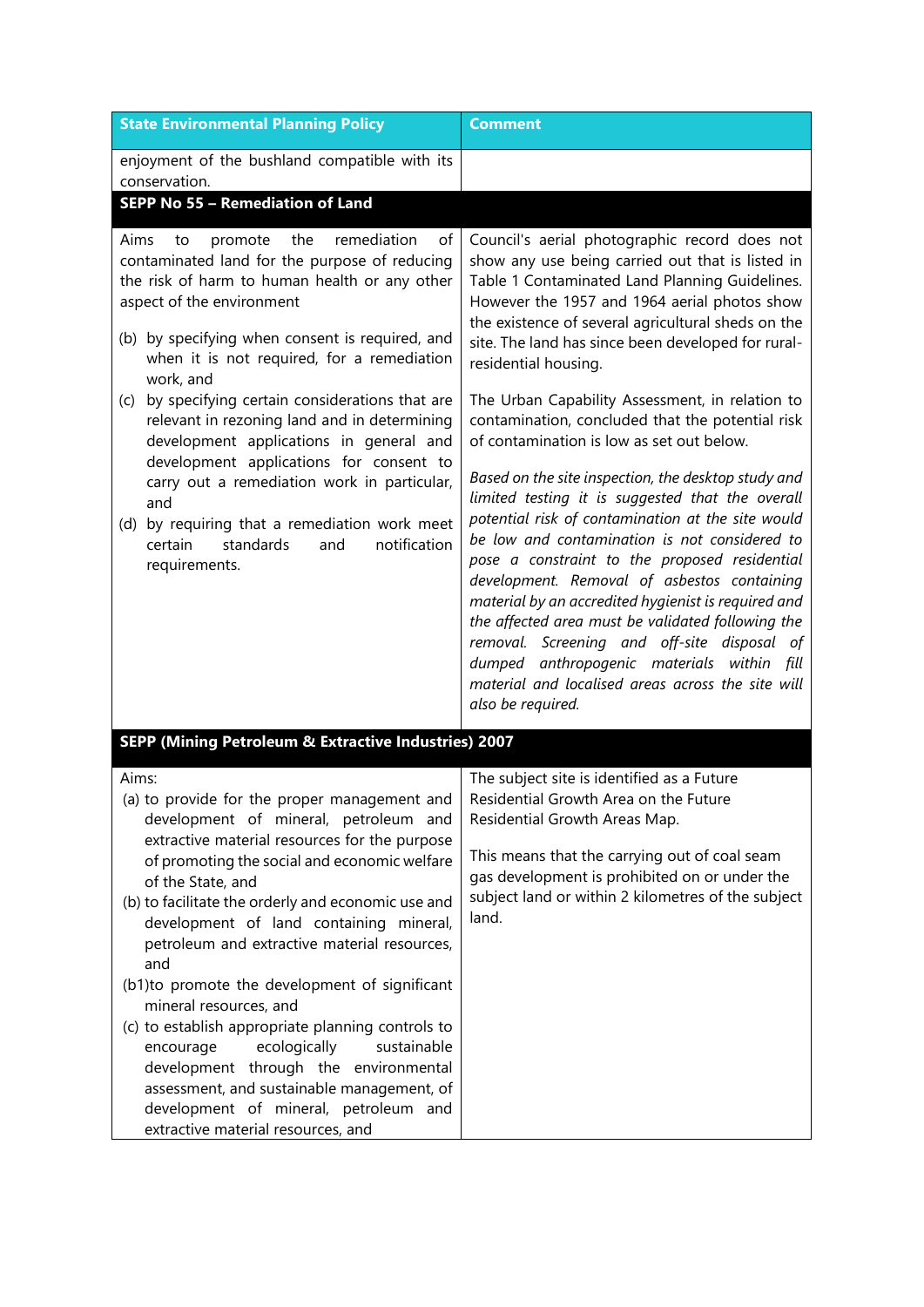| <b>State Environmental Planning Policy</b>                                                                                                                                                                                                                                                                                                                                                                                                                                                                                                                                                                                                                                                                                     | <b>Comment</b>                                                                                                                                                                                                                                                                                                                                                                                                                                                                                                                                                                                                                                                                                                                                                                                                                                                                                                                                                                                                                                                                                  |  |
|--------------------------------------------------------------------------------------------------------------------------------------------------------------------------------------------------------------------------------------------------------------------------------------------------------------------------------------------------------------------------------------------------------------------------------------------------------------------------------------------------------------------------------------------------------------------------------------------------------------------------------------------------------------------------------------------------------------------------------|-------------------------------------------------------------------------------------------------------------------------------------------------------------------------------------------------------------------------------------------------------------------------------------------------------------------------------------------------------------------------------------------------------------------------------------------------------------------------------------------------------------------------------------------------------------------------------------------------------------------------------------------------------------------------------------------------------------------------------------------------------------------------------------------------------------------------------------------------------------------------------------------------------------------------------------------------------------------------------------------------------------------------------------------------------------------------------------------------|--|
| enjoyment of the bushland compatible with its<br>conservation.<br>SEPP No 55 - Remediation of Land                                                                                                                                                                                                                                                                                                                                                                                                                                                                                                                                                                                                                             |                                                                                                                                                                                                                                                                                                                                                                                                                                                                                                                                                                                                                                                                                                                                                                                                                                                                                                                                                                                                                                                                                                 |  |
| remediation<br>Aims<br>the<br>of<br>promote<br>to<br>contaminated land for the purpose of reducing<br>the risk of harm to human health or any other<br>aspect of the environment<br>(b) by specifying when consent is required, and<br>when it is not required, for a remediation<br>work, and<br>by specifying certain considerations that are<br>(c)<br>relevant in rezoning land and in determining<br>development applications in general and<br>development applications for consent to<br>carry out a remediation work in particular,<br>and<br>(d) by requiring that a remediation work meet<br>standards<br>and<br>notification<br>certain<br>requirements.                                                            | Council's aerial photographic record does not<br>show any use being carried out that is listed in<br>Table 1 Contaminated Land Planning Guidelines.<br>However the 1957 and 1964 aerial photos show<br>the existence of several agricultural sheds on the<br>site. The land has since been developed for rural-<br>residential housing.<br>The Urban Capability Assessment, in relation to<br>contamination, concluded that the potential risk<br>of contamination is low as set out below.<br>Based on the site inspection, the desktop study and<br>limited testing it is suggested that the overall<br>potential risk of contamination at the site would<br>be low and contamination is not considered to<br>pose a constraint to the proposed residential<br>development. Removal of asbestos containing<br>material by an accredited hygienist is required and<br>the affected area must be validated following the<br>removal. Screening and off-site disposal of<br>dumped anthropogenic materials within fill<br>material and localised areas across the site will<br>also be required. |  |
| SEPP (Mining Petroleum & Extractive Industries) 2007                                                                                                                                                                                                                                                                                                                                                                                                                                                                                                                                                                                                                                                                           |                                                                                                                                                                                                                                                                                                                                                                                                                                                                                                                                                                                                                                                                                                                                                                                                                                                                                                                                                                                                                                                                                                 |  |
| Aims:<br>(a) to provide for the proper management and<br>development of mineral, petroleum and<br>extractive material resources for the purpose<br>of promoting the social and economic welfare<br>of the State, and<br>(b) to facilitate the orderly and economic use and<br>development of land containing mineral,<br>petroleum and extractive material resources,<br>and<br>(b1)to promote the development of significant<br>mineral resources, and<br>(c) to establish appropriate planning controls to<br>ecologically<br>sustainable<br>encourage<br>development through the environmental<br>assessment, and sustainable management, of<br>development of mineral, petroleum and<br>extractive material resources, and | The subject site is identified as a Future<br>Residential Growth Area on the Future<br>Residential Growth Areas Map.<br>This means that the carrying out of coal seam<br>gas development is prohibited on or under the<br>subject land or within 2 kilometres of the subject<br>land.                                                                                                                                                                                                                                                                                                                                                                                                                                                                                                                                                                                                                                                                                                                                                                                                           |  |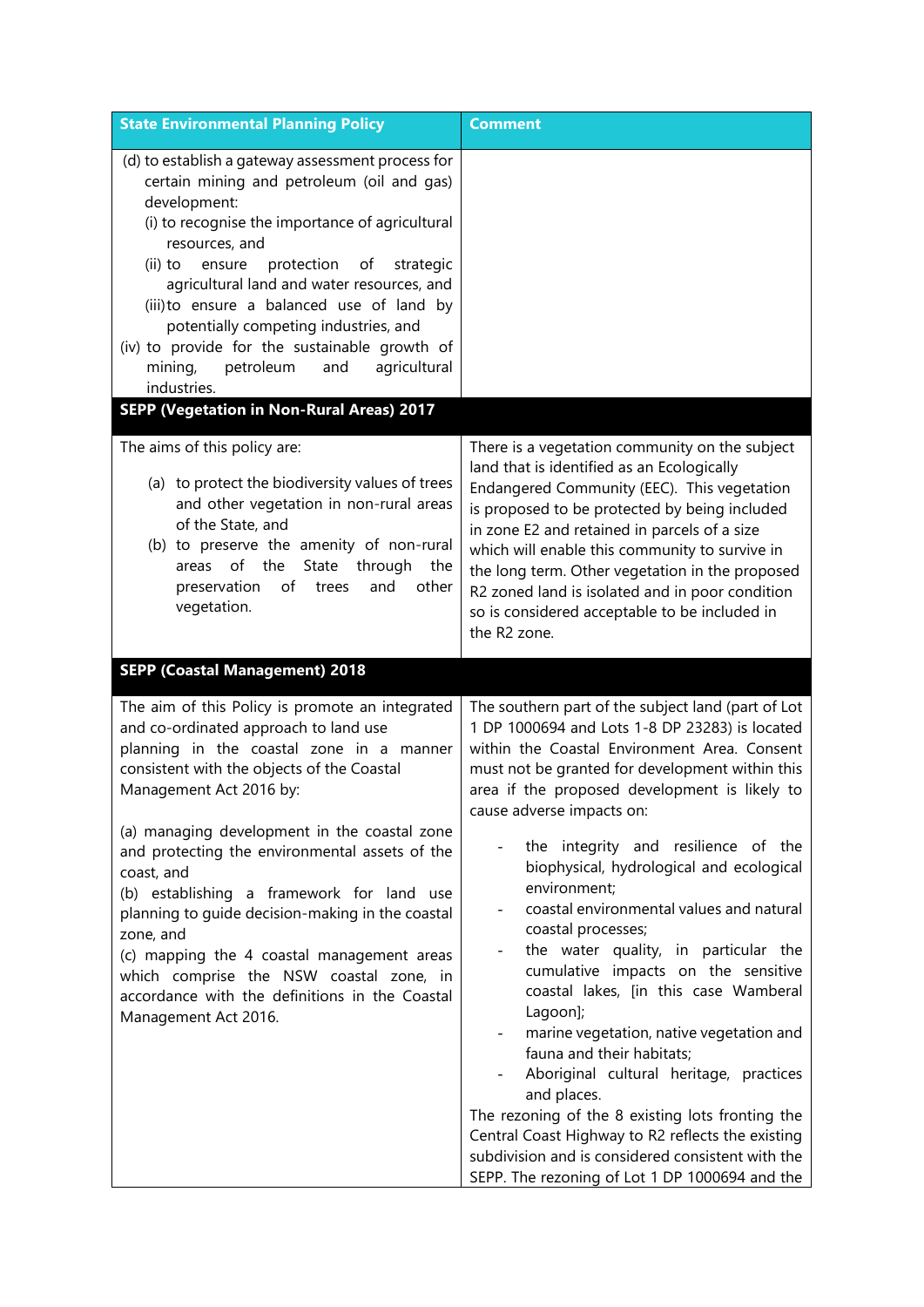| <b>State Environmental Planning Policy</b>                                                                                                                                                                                                                                                                                                                                                                                                                                                      | <b>Comment</b>                                                                                                                                                                                                                                                                                                                                                                                                                                                                                                                                                                                                                                           |
|-------------------------------------------------------------------------------------------------------------------------------------------------------------------------------------------------------------------------------------------------------------------------------------------------------------------------------------------------------------------------------------------------------------------------------------------------------------------------------------------------|----------------------------------------------------------------------------------------------------------------------------------------------------------------------------------------------------------------------------------------------------------------------------------------------------------------------------------------------------------------------------------------------------------------------------------------------------------------------------------------------------------------------------------------------------------------------------------------------------------------------------------------------------------|
| (d) to establish a gateway assessment process for<br>certain mining and petroleum (oil and gas)<br>development:<br>(i) to recognise the importance of agricultural<br>resources, and<br>protection<br>$(ii)$ to<br>of<br>strategic<br>ensure<br>agricultural land and water resources, and<br>(iii) to ensure a balanced use of land by<br>potentially competing industries, and<br>(iv) to provide for the sustainable growth of<br>petroleum<br>and<br>agricultural<br>mining,<br>industries. |                                                                                                                                                                                                                                                                                                                                                                                                                                                                                                                                                                                                                                                          |
| <b>SEPP (Vegetation in Non-Rural Areas) 2017</b>                                                                                                                                                                                                                                                                                                                                                                                                                                                |                                                                                                                                                                                                                                                                                                                                                                                                                                                                                                                                                                                                                                                          |
| The aims of this policy are:<br>(a) to protect the biodiversity values of trees<br>and other vegetation in non-rural areas<br>of the State, and<br>(b) to preserve the amenity of non-rural<br>areas of the<br>State through<br>the<br>preservation<br>of<br>and<br>other<br>trees<br>vegetation.                                                                                                                                                                                               | There is a vegetation community on the subject<br>land that is identified as an Ecologically<br>Endangered Community (EEC). This vegetation<br>is proposed to be protected by being included<br>in zone E2 and retained in parcels of a size<br>which will enable this community to survive in<br>the long term. Other vegetation in the proposed<br>R2 zoned land is isolated and in poor condition<br>so is considered acceptable to be included in<br>the R2 zone.                                                                                                                                                                                    |
| <b>SEPP (Coastal Management) 2018</b>                                                                                                                                                                                                                                                                                                                                                                                                                                                           |                                                                                                                                                                                                                                                                                                                                                                                                                                                                                                                                                                                                                                                          |
| The aim of this Policy is promote an integrated<br>and co-ordinated approach to land use<br>planning in the coastal zone in a manner<br>consistent with the objects of the Coastal<br>Management Act 2016 by:                                                                                                                                                                                                                                                                                   | The southern part of the subject land (part of Lot<br>1 DP 1000694 and Lots 1-8 DP 23283) is located<br>within the Coastal Environment Area. Consent<br>must not be granted for development within this<br>area if the proposed development is likely to<br>cause adverse impacts on:                                                                                                                                                                                                                                                                                                                                                                    |
| (a) managing development in the coastal zone<br>and protecting the environmental assets of the<br>coast, and<br>(b) establishing a framework for land use<br>planning to guide decision-making in the coastal<br>zone, and<br>(c) mapping the 4 coastal management areas<br>which comprise the NSW coastal zone, in<br>accordance with the definitions in the Coastal<br>Management Act 2016.                                                                                                   | the integrity and resilience of the<br>biophysical, hydrological and ecological<br>environment;<br>coastal environmental values and natural<br>coastal processes;<br>the water quality, in particular the<br>cumulative impacts on the sensitive<br>coastal lakes, [in this case Wamberal<br>Lagoon];<br>marine vegetation, native vegetation and<br>fauna and their habitats;<br>Aboriginal cultural heritage, practices<br>and places.<br>The rezoning of the 8 existing lots fronting the<br>Central Coast Highway to R2 reflects the existing<br>subdivision and is considered consistent with the<br>SEPP. The rezoning of Lot 1 DP 1000694 and the |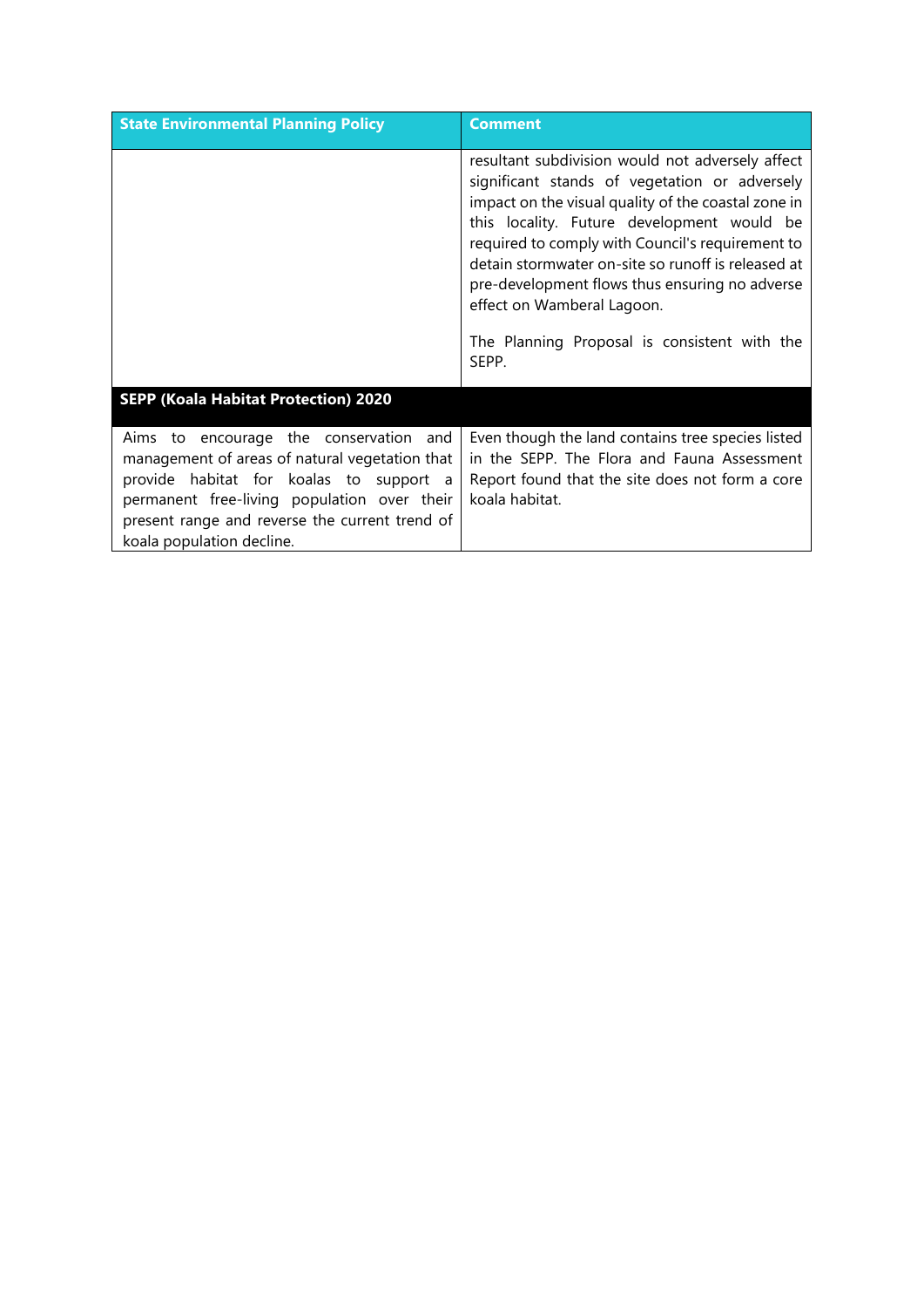| <b>State Environmental Planning Policy</b>                                                                                                                                                                                                                        | <b>Comment</b>                                                                                                                                                                                                                                                                                                                                                                                                                                            |
|-------------------------------------------------------------------------------------------------------------------------------------------------------------------------------------------------------------------------------------------------------------------|-----------------------------------------------------------------------------------------------------------------------------------------------------------------------------------------------------------------------------------------------------------------------------------------------------------------------------------------------------------------------------------------------------------------------------------------------------------|
|                                                                                                                                                                                                                                                                   | resultant subdivision would not adversely affect<br>significant stands of vegetation or adversely<br>impact on the visual quality of the coastal zone in<br>this locality. Future development would be<br>required to comply with Council's requirement to<br>detain stormwater on-site so runoff is released at<br>pre-development flows thus ensuring no adverse<br>effect on Wamberal Lagoon.<br>The Planning Proposal is consistent with the<br>SEPP. |
| <b>SEPP (Koala Habitat Protection) 2020</b>                                                                                                                                                                                                                       |                                                                                                                                                                                                                                                                                                                                                                                                                                                           |
| Aims to encourage the conservation and<br>management of areas of natural vegetation that<br>provide habitat for koalas to support a<br>permanent free-living population over their<br>present range and reverse the current trend of<br>koala population decline. | Even though the land contains tree species listed<br>in the SEPP. The Flora and Fauna Assessment<br>Report found that the site does not form a core<br>koala habitat.                                                                                                                                                                                                                                                                                     |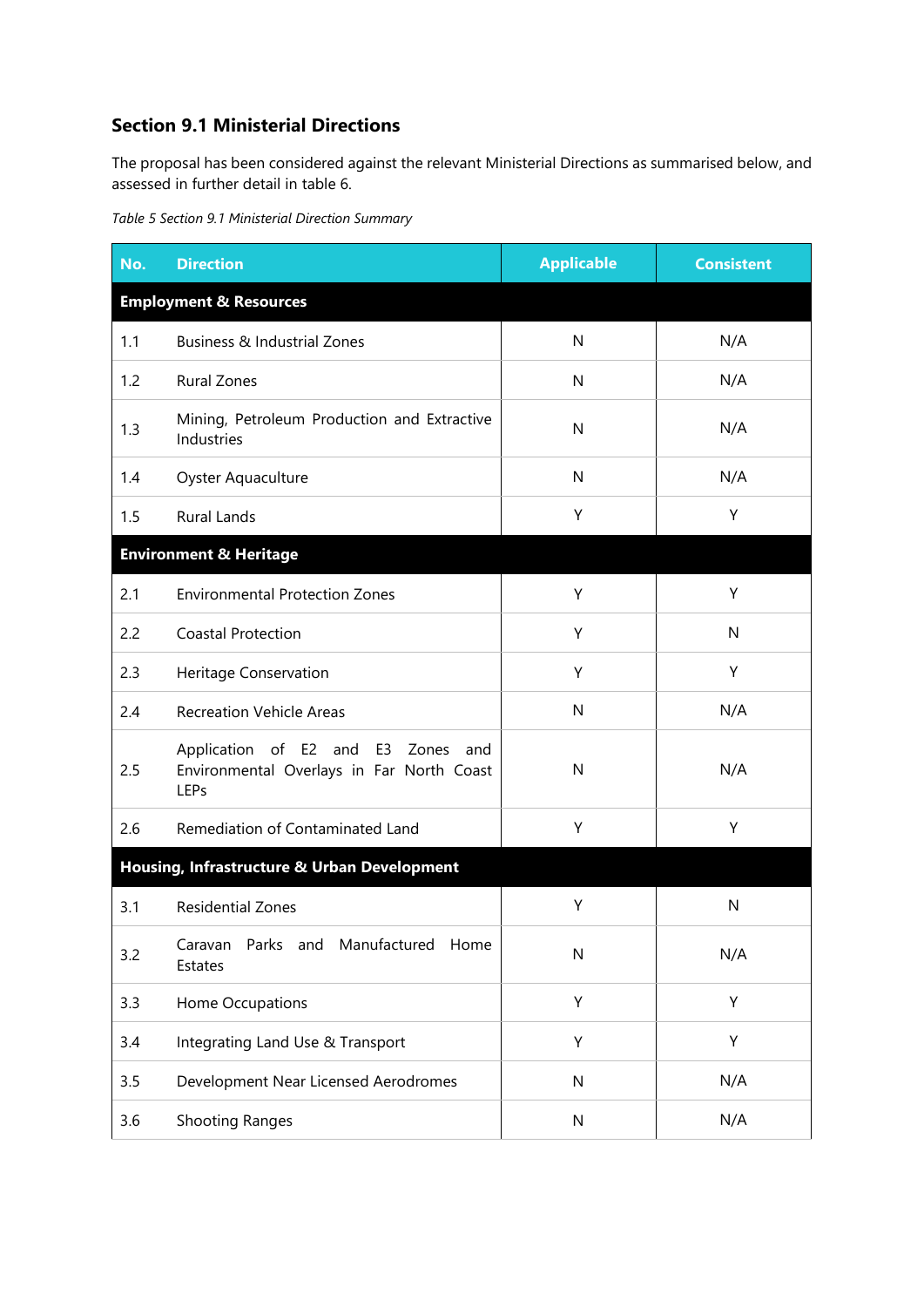## **Section 9.1 Ministerial Directions**

The proposal has been considered against the relevant Ministerial Directions as summarised below, and assessed in further detail in table 6.

*Table 5 Section 9.1 Ministerial Direction Summary*

| No. | <b>Direction</b>                                                                              | <b>Applicable</b> | <b>Consistent</b> |
|-----|-----------------------------------------------------------------------------------------------|-------------------|-------------------|
|     | <b>Employment &amp; Resources</b>                                                             |                   |                   |
| 1.1 | <b>Business &amp; Industrial Zones</b>                                                        | N                 | N/A               |
| 1.2 | <b>Rural Zones</b>                                                                            | N                 | N/A               |
| 1.3 | Mining, Petroleum Production and Extractive<br>Industries                                     | N                 | N/A               |
| 1.4 | Oyster Aquaculture                                                                            | N                 | N/A               |
| 1.5 | <b>Rural Lands</b>                                                                            | Y                 | Υ                 |
|     | <b>Environment &amp; Heritage</b>                                                             |                   |                   |
| 2.1 | <b>Environmental Protection Zones</b>                                                         | Y                 | Y                 |
| 2.2 | <b>Coastal Protection</b>                                                                     | Y                 | $\mathsf{N}$      |
| 2.3 | Heritage Conservation                                                                         | Y                 | Υ                 |
| 2.4 | <b>Recreation Vehicle Areas</b>                                                               | N                 | N/A               |
| 2.5 | Application of E2 and E3<br>Zones<br>and<br>Environmental Overlays in Far North Coast<br>LEPs | N                 | N/A               |
| 2.6 | Remediation of Contaminated Land                                                              | Υ                 | Y                 |
|     | Housing, Infrastructure & Urban Development                                                   |                   |                   |
| 3.1 | <b>Residential Zones</b>                                                                      | Υ                 | N                 |
| 3.2 | Parks and Manufactured Home<br>Caravan<br>Estates                                             | $\mathsf{N}$      | N/A               |
| 3.3 | Home Occupations                                                                              | Υ                 | Y                 |
| 3.4 | Integrating Land Use & Transport                                                              | Υ                 | Y                 |
| 3.5 | Development Near Licensed Aerodromes                                                          | $\mathsf{N}$      | N/A               |
| 3.6 | <b>Shooting Ranges</b>                                                                        | ${\sf N}$         | N/A               |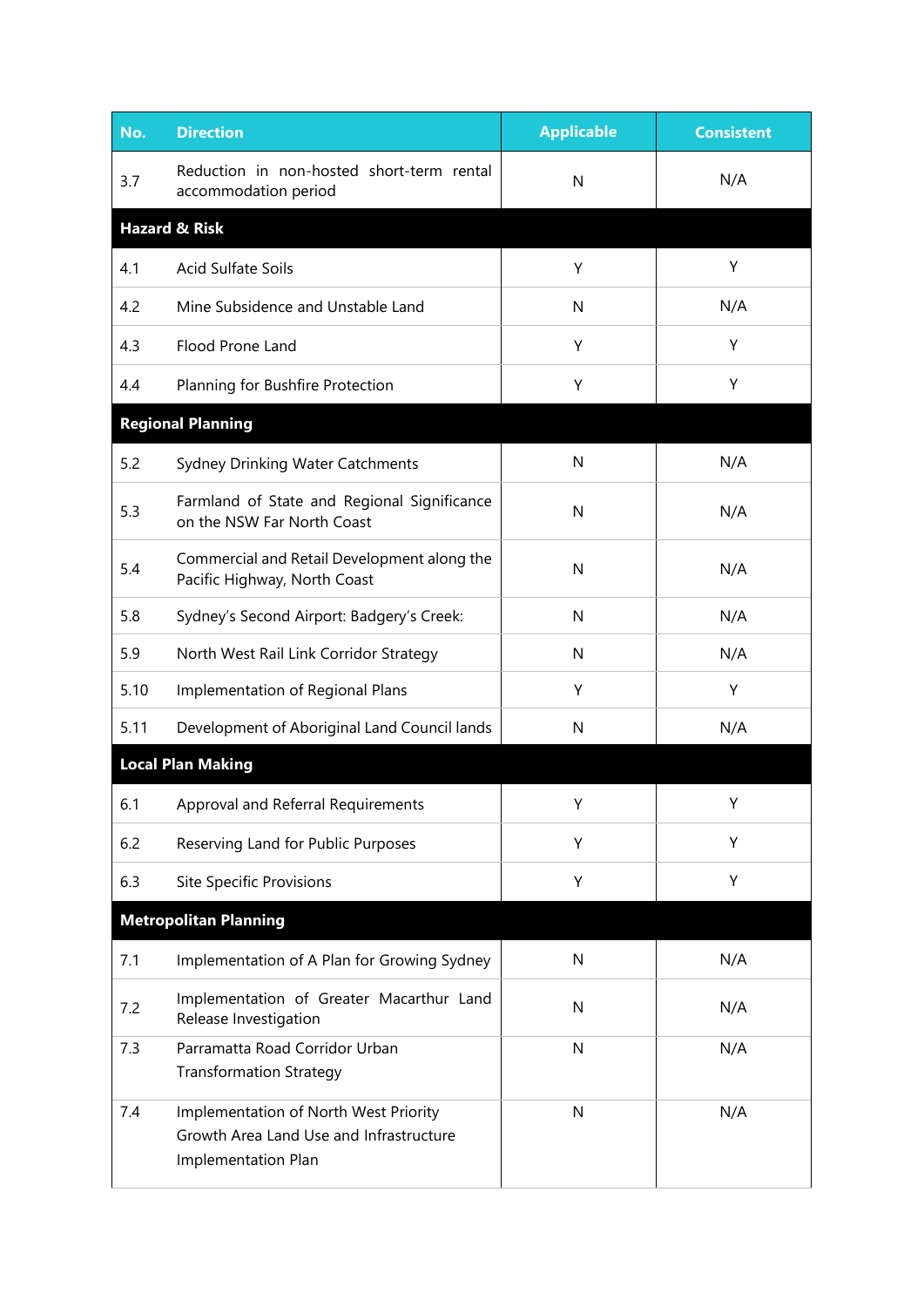| No.  | <b>Direction</b>                                                                                        | <b>Applicable</b> | <b>Consistent</b> |
|------|---------------------------------------------------------------------------------------------------------|-------------------|-------------------|
| 3.7  | Reduction in non-hosted short-term rental<br>accommodation period                                       | N                 | N/A               |
|      | <b>Hazard &amp; Risk</b>                                                                                |                   |                   |
| 4.1  | <b>Acid Sulfate Soils</b>                                                                               | Υ                 | Υ                 |
| 4.2  | Mine Subsidence and Unstable Land                                                                       | N                 | N/A               |
| 4.3  | Flood Prone Land                                                                                        | Y                 | Y                 |
| 4.4  | Planning for Bushfire Protection                                                                        | Υ                 | Υ                 |
|      | <b>Regional Planning</b>                                                                                |                   |                   |
| 5.2  | Sydney Drinking Water Catchments                                                                        | N                 | N/A               |
| 5.3  | Farmland of State and Regional Significance<br>on the NSW Far North Coast                               | N                 | N/A               |
| 5.4  | Commercial and Retail Development along the<br>Pacific Highway, North Coast                             | N                 | N/A               |
| 5.8  | Sydney's Second Airport: Badgery's Creek:                                                               | N                 | N/A               |
| 5.9  | North West Rail Link Corridor Strategy                                                                  | N                 | N/A               |
| 5.10 | Implementation of Regional Plans                                                                        | Y                 | Y                 |
| 5.11 | Development of Aboriginal Land Council lands                                                            | N                 | N/A               |
|      | <b>Local Plan Making</b>                                                                                |                   |                   |
| 6.1  | Approval and Referral Requirements                                                                      | Y                 | Υ                 |
| 6.2  | Reserving Land for Public Purposes                                                                      | Υ                 | Υ                 |
| 6.3  | Site Specific Provisions                                                                                | Υ                 | Υ                 |
|      | <b>Metropolitan Planning</b>                                                                            |                   |                   |
| 7.1  | Implementation of A Plan for Growing Sydney                                                             | ${\sf N}$         | N/A               |
| 7.2  | Implementation of Greater Macarthur Land<br>Release Investigation                                       | N                 | N/A               |
| 7.3  | Parramatta Road Corridor Urban<br><b>Transformation Strategy</b>                                        | N                 | N/A               |
| 7.4  | Implementation of North West Priority<br>Growth Area Land Use and Infrastructure<br>Implementation Plan | N                 | N/A               |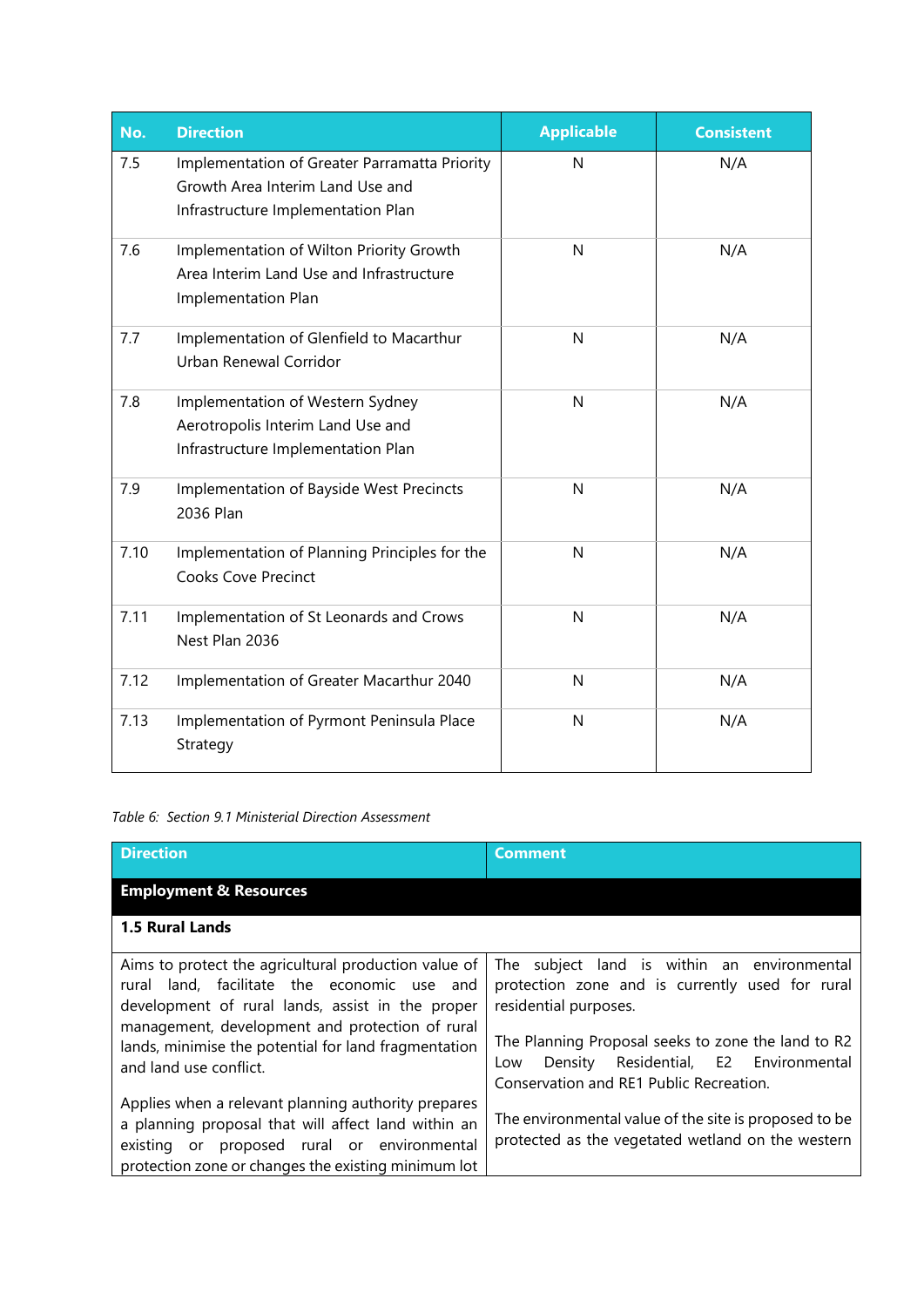| No.  | <b>Direction</b>                                                                                                        | <b>Applicable</b> | <b>Consistent</b> |
|------|-------------------------------------------------------------------------------------------------------------------------|-------------------|-------------------|
| 7.5  | Implementation of Greater Parramatta Priority<br>Growth Area Interim Land Use and<br>Infrastructure Implementation Plan | N                 | N/A               |
| 7.6  | Implementation of Wilton Priority Growth<br>Area Interim Land Use and Infrastructure<br>Implementation Plan             | N                 | N/A               |
| 7.7  | Implementation of Glenfield to Macarthur<br>Urban Renewal Corridor                                                      | N                 | N/A               |
| 7.8  | Implementation of Western Sydney<br>Aerotropolis Interim Land Use and<br>Infrastructure Implementation Plan             | N                 | N/A               |
| 7.9  | Implementation of Bayside West Precincts<br>2036 Plan                                                                   | N                 | N/A               |
| 7.10 | Implementation of Planning Principles for the<br><b>Cooks Cove Precinct</b>                                             | $\mathsf{N}$      | N/A               |
| 7.11 | Implementation of St Leonards and Crows<br>Nest Plan 2036                                                               | N                 | N/A               |
| 7.12 | Implementation of Greater Macarthur 2040                                                                                | N                 | N/A               |
| 7.13 | Implementation of Pyrmont Peninsula Place<br>Strategy                                                                   | $\mathsf{N}$      | N/A               |

#### *Table 6: Section 9.1 Ministerial Direction Assessment*

| <b>Direction</b>                                                                                                                                                                                                                                                                                | <b>Comment</b>                                                                                                                                                                                                                                                           |
|-------------------------------------------------------------------------------------------------------------------------------------------------------------------------------------------------------------------------------------------------------------------------------------------------|--------------------------------------------------------------------------------------------------------------------------------------------------------------------------------------------------------------------------------------------------------------------------|
| <b>Employment &amp; Resources</b>                                                                                                                                                                                                                                                               |                                                                                                                                                                                                                                                                          |
| 1.5 Rural Lands                                                                                                                                                                                                                                                                                 |                                                                                                                                                                                                                                                                          |
| Aims to protect the agricultural production value of<br>land, facilitate the economic use and<br>rural<br>development of rural lands, assist in the proper<br>management, development and protection of rural<br>lands, minimise the potential for land fragmentation<br>and land use conflict. | The subject land is within an environmental<br>protection zone and is currently used for rural<br>residential purposes.<br>The Planning Proposal seeks to zone the land to R2<br>Density Residential, E2 Environmental<br>Low<br>Conservation and RE1 Public Recreation. |
| Applies when a relevant planning authority prepares<br>a planning proposal that will affect land within an<br>existing or proposed rural or environmental<br>protection zone or changes the existing minimum lot                                                                                | The environmental value of the site is proposed to be<br>protected as the vegetated wetland on the western                                                                                                                                                               |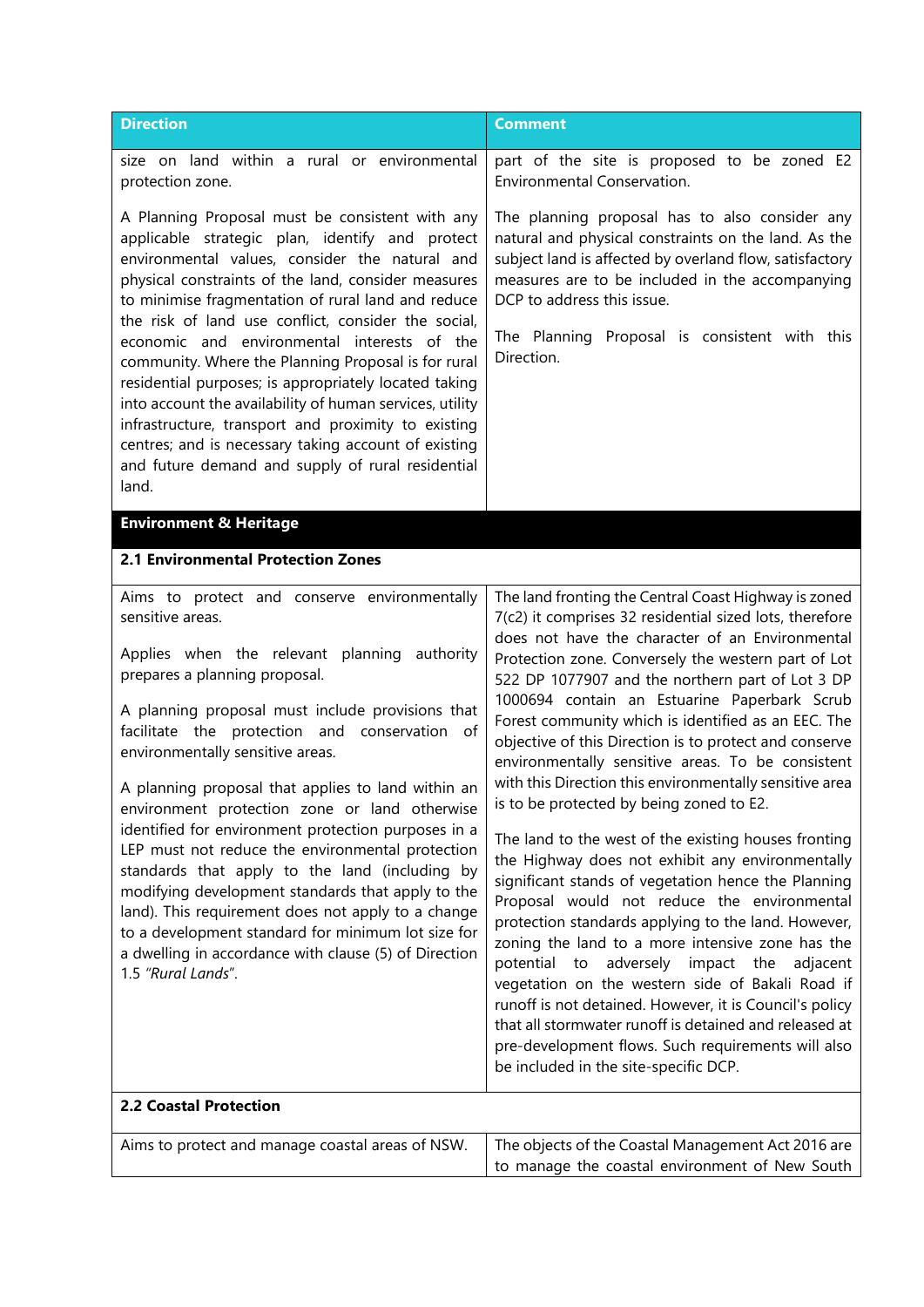| <b>Direction</b>                                                                                                                                                                                                                                                                                                                                                                                                                                                                                                                                                                                                                                                                                                                                                                                               | <b>Comment</b>                                                                                                                                                                                                                                                                                                                                                                                                                                                                                                                                                                                                                                                                                                                                                                                                                                                                                                                                                                                                                                                                                                                                                                                                                                                |
|----------------------------------------------------------------------------------------------------------------------------------------------------------------------------------------------------------------------------------------------------------------------------------------------------------------------------------------------------------------------------------------------------------------------------------------------------------------------------------------------------------------------------------------------------------------------------------------------------------------------------------------------------------------------------------------------------------------------------------------------------------------------------------------------------------------|---------------------------------------------------------------------------------------------------------------------------------------------------------------------------------------------------------------------------------------------------------------------------------------------------------------------------------------------------------------------------------------------------------------------------------------------------------------------------------------------------------------------------------------------------------------------------------------------------------------------------------------------------------------------------------------------------------------------------------------------------------------------------------------------------------------------------------------------------------------------------------------------------------------------------------------------------------------------------------------------------------------------------------------------------------------------------------------------------------------------------------------------------------------------------------------------------------------------------------------------------------------|
| size on land within a rural or environmental<br>protection zone.                                                                                                                                                                                                                                                                                                                                                                                                                                                                                                                                                                                                                                                                                                                                               | part of the site is proposed to be zoned E2<br>Environmental Conservation.                                                                                                                                                                                                                                                                                                                                                                                                                                                                                                                                                                                                                                                                                                                                                                                                                                                                                                                                                                                                                                                                                                                                                                                    |
| A Planning Proposal must be consistent with any<br>applicable strategic plan, identify and protect<br>environmental values, consider the natural and<br>physical constraints of the land, consider measures<br>to minimise fragmentation of rural land and reduce<br>the risk of land use conflict, consider the social,<br>economic and environmental interests of the<br>community. Where the Planning Proposal is for rural<br>residential purposes; is appropriately located taking<br>into account the availability of human services, utility<br>infrastructure, transport and proximity to existing<br>centres; and is necessary taking account of existing<br>and future demand and supply of rural residential<br>land.                                                                               | The planning proposal has to also consider any<br>natural and physical constraints on the land. As the<br>subject land is affected by overland flow, satisfactory<br>measures are to be included in the accompanying<br>DCP to address this issue.<br>The Planning Proposal is consistent with this<br>Direction.                                                                                                                                                                                                                                                                                                                                                                                                                                                                                                                                                                                                                                                                                                                                                                                                                                                                                                                                             |
| <b>Environment &amp; Heritage</b>                                                                                                                                                                                                                                                                                                                                                                                                                                                                                                                                                                                                                                                                                                                                                                              |                                                                                                                                                                                                                                                                                                                                                                                                                                                                                                                                                                                                                                                                                                                                                                                                                                                                                                                                                                                                                                                                                                                                                                                                                                                               |
| 2.1 Environmental Protection Zones                                                                                                                                                                                                                                                                                                                                                                                                                                                                                                                                                                                                                                                                                                                                                                             |                                                                                                                                                                                                                                                                                                                                                                                                                                                                                                                                                                                                                                                                                                                                                                                                                                                                                                                                                                                                                                                                                                                                                                                                                                                               |
| Aims to protect and conserve environmentally<br>sensitive areas.<br>Applies when the relevant planning authority<br>prepares a planning proposal.<br>A planning proposal must include provisions that<br>facilitate the protection and conservation of<br>environmentally sensitive areas.<br>A planning proposal that applies to land within an<br>environment protection zone or land otherwise<br>identified for environment protection purposes in a<br>LEP must not reduce the environmental protection<br>standards that apply to the land (including by<br>modifying development standards that apply to the<br>land). This requirement does not apply to a change<br>to a development standard for minimum lot size for<br>a dwelling in accordance with clause (5) of Direction<br>1.5 "Rural Lands". | The land fronting the Central Coast Highway is zoned<br>7(c2) it comprises 32 residential sized lots, therefore<br>does not have the character of an Environmental<br>Protection zone. Conversely the western part of Lot<br>522 DP 1077907 and the northern part of Lot 3 DP<br>1000694 contain an Estuarine Paperbark Scrub<br>Forest community which is identified as an EEC. The<br>objective of this Direction is to protect and conserve<br>environmentally sensitive areas. To be consistent<br>with this Direction this environmentally sensitive area<br>is to be protected by being zoned to E2.<br>The land to the west of the existing houses fronting<br>the Highway does not exhibit any environmentally<br>significant stands of vegetation hence the Planning<br>Proposal would not reduce the environmental<br>protection standards applying to the land. However,<br>zoning the land to a more intensive zone has the<br>potential to adversely impact the adjacent<br>vegetation on the western side of Bakali Road if<br>runoff is not detained. However, it is Council's policy<br>that all stormwater runoff is detained and released at<br>pre-development flows. Such requirements will also<br>be included in the site-specific DCP. |
| <b>2.2 Coastal Protection</b>                                                                                                                                                                                                                                                                                                                                                                                                                                                                                                                                                                                                                                                                                                                                                                                  |                                                                                                                                                                                                                                                                                                                                                                                                                                                                                                                                                                                                                                                                                                                                                                                                                                                                                                                                                                                                                                                                                                                                                                                                                                                               |
| Aims to protect and manage coastal areas of NSW.                                                                                                                                                                                                                                                                                                                                                                                                                                                                                                                                                                                                                                                                                                                                                               | The objects of the Coastal Management Act 2016 are<br>to manage the coastal environment of New South                                                                                                                                                                                                                                                                                                                                                                                                                                                                                                                                                                                                                                                                                                                                                                                                                                                                                                                                                                                                                                                                                                                                                          |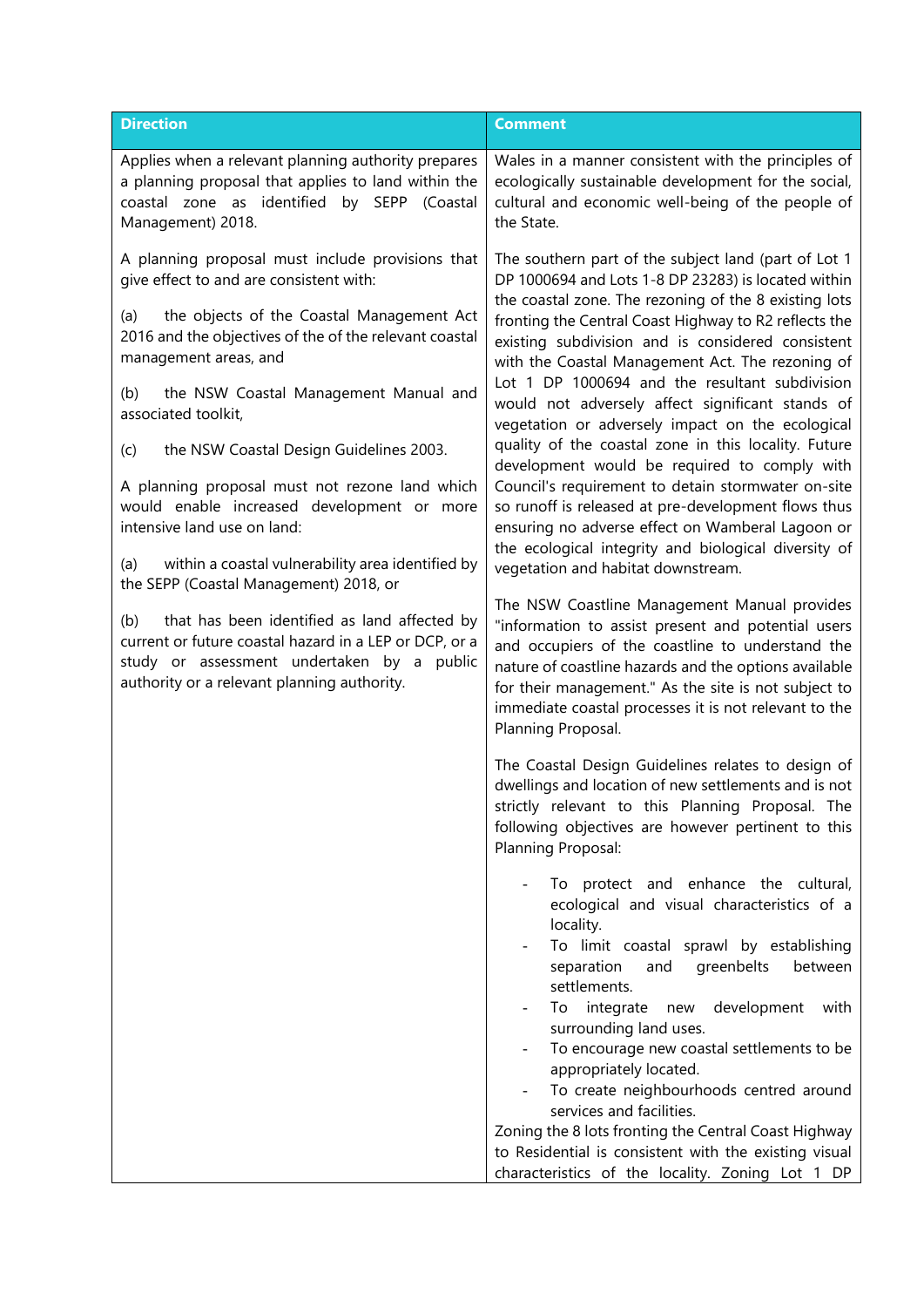| <b>Direction</b>                                                                                                                                                                                                                                                                                                                                                                                                                                                                                                                                                                                                                                                                                                                                                                                               | <b>Comment</b>                                                                                                                                                                                                                                                                                                                                                                                                                                                                                                                                                                                                                                                                                                                                                                                                                                                                                                                                                                                                                                                                                                                                                                                                                                                                                                                                                                                                                                                                                                                                                                                                                                                                                                                                                                                                                                                                                                                                                                                                                                                                                                |
|----------------------------------------------------------------------------------------------------------------------------------------------------------------------------------------------------------------------------------------------------------------------------------------------------------------------------------------------------------------------------------------------------------------------------------------------------------------------------------------------------------------------------------------------------------------------------------------------------------------------------------------------------------------------------------------------------------------------------------------------------------------------------------------------------------------|---------------------------------------------------------------------------------------------------------------------------------------------------------------------------------------------------------------------------------------------------------------------------------------------------------------------------------------------------------------------------------------------------------------------------------------------------------------------------------------------------------------------------------------------------------------------------------------------------------------------------------------------------------------------------------------------------------------------------------------------------------------------------------------------------------------------------------------------------------------------------------------------------------------------------------------------------------------------------------------------------------------------------------------------------------------------------------------------------------------------------------------------------------------------------------------------------------------------------------------------------------------------------------------------------------------------------------------------------------------------------------------------------------------------------------------------------------------------------------------------------------------------------------------------------------------------------------------------------------------------------------------------------------------------------------------------------------------------------------------------------------------------------------------------------------------------------------------------------------------------------------------------------------------------------------------------------------------------------------------------------------------------------------------------------------------------------------------------------------------|
| Applies when a relevant planning authority prepares<br>a planning proposal that applies to land within the<br>coastal zone as identified by SEPP (Coastal<br>Management) 2018.                                                                                                                                                                                                                                                                                                                                                                                                                                                                                                                                                                                                                                 | Wales in a manner consistent with the principles of<br>ecologically sustainable development for the social,<br>cultural and economic well-being of the people of<br>the State.                                                                                                                                                                                                                                                                                                                                                                                                                                                                                                                                                                                                                                                                                                                                                                                                                                                                                                                                                                                                                                                                                                                                                                                                                                                                                                                                                                                                                                                                                                                                                                                                                                                                                                                                                                                                                                                                                                                                |
| A planning proposal must include provisions that<br>give effect to and are consistent with:<br>the objects of the Coastal Management Act<br>(a)<br>2016 and the objectives of the of the relevant coastal<br>management areas, and<br>the NSW Coastal Management Manual and<br>(b)<br>associated toolkit,<br>the NSW Coastal Design Guidelines 2003.<br>(c)<br>A planning proposal must not rezone land which<br>would enable increased development or more<br>intensive land use on land:<br>within a coastal vulnerability area identified by<br>(a)<br>the SEPP (Coastal Management) 2018, or<br>that has been identified as land affected by<br>(b)<br>current or future coastal hazard in a LEP or DCP, or a<br>study or assessment undertaken by a public<br>authority or a relevant planning authority. | The southern part of the subject land (part of Lot 1<br>DP 1000694 and Lots 1-8 DP 23283) is located within<br>the coastal zone. The rezoning of the 8 existing lots<br>fronting the Central Coast Highway to R2 reflects the<br>existing subdivision and is considered consistent<br>with the Coastal Management Act. The rezoning of<br>Lot 1 DP 1000694 and the resultant subdivision<br>would not adversely affect significant stands of<br>vegetation or adversely impact on the ecological<br>quality of the coastal zone in this locality. Future<br>development would be required to comply with<br>Council's requirement to detain stormwater on-site<br>so runoff is released at pre-development flows thus<br>ensuring no adverse effect on Wamberal Lagoon or<br>the ecological integrity and biological diversity of<br>vegetation and habitat downstream.<br>The NSW Coastline Management Manual provides<br>"information to assist present and potential users<br>and occupiers of the coastline to understand the<br>nature of coastline hazards and the options available<br>for their management." As the site is not subject to<br>immediate coastal processes it is not relevant to the<br>Planning Proposal.<br>The Coastal Design Guidelines relates to design of<br>dwellings and location of new settlements and is not<br>strictly relevant to this Planning Proposal. The<br>following objectives are however pertinent to this<br>Planning Proposal:<br>To protect and enhance the cultural,<br>ecological and visual characteristics of a<br>locality.<br>To limit coastal sprawl by establishing<br>separation<br>and<br>greenbelts<br>between<br>settlements.<br>To integrate new development<br>with<br>surrounding land uses.<br>To encourage new coastal settlements to be<br>appropriately located.<br>To create neighbourhoods centred around<br>$\overline{\phantom{0}}$<br>services and facilities.<br>Zoning the 8 lots fronting the Central Coast Highway<br>to Residential is consistent with the existing visual<br>characteristics of the locality. Zoning Lot 1 DP |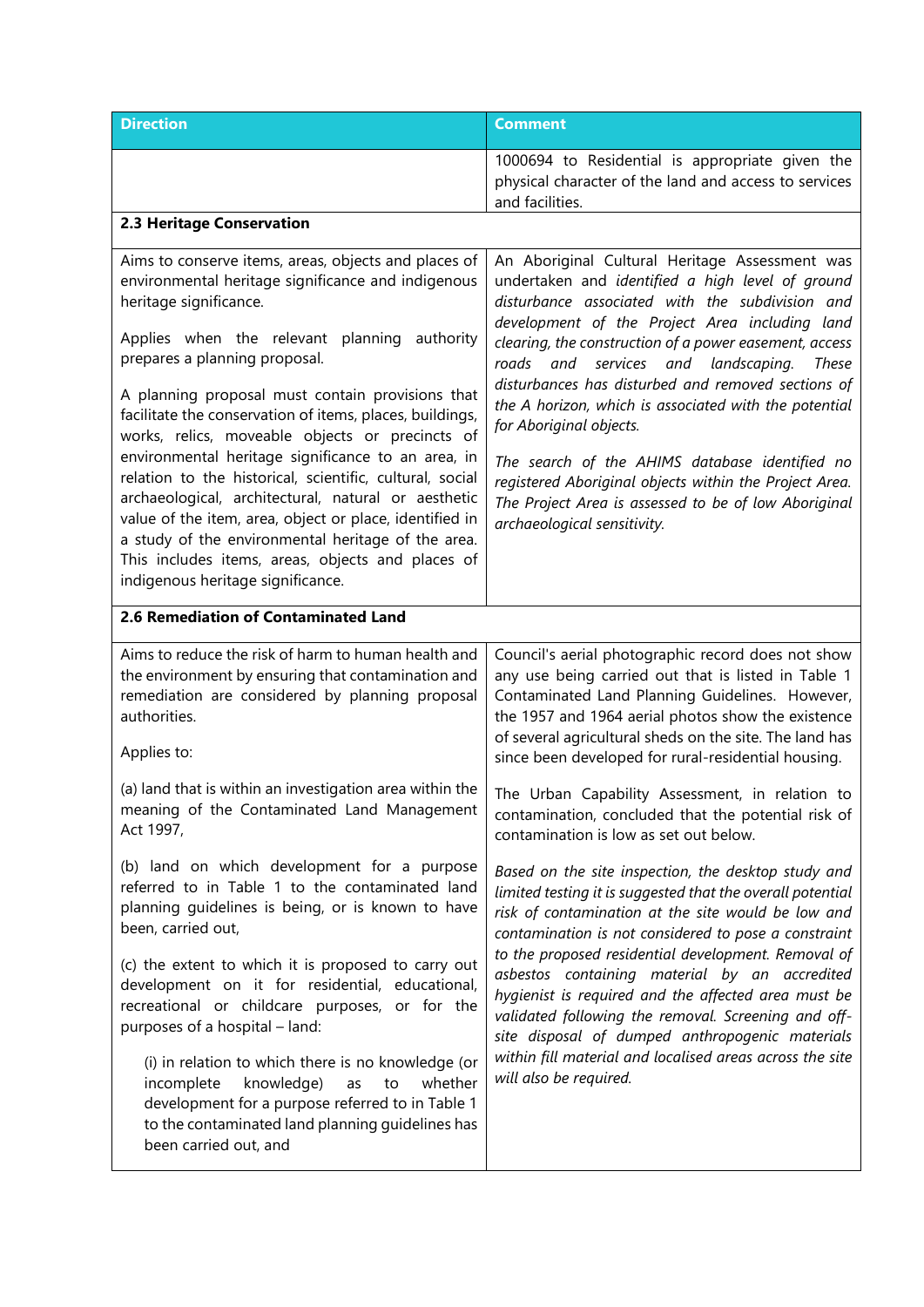| <b>Direction</b>                                                                                                                                                                                                                                                                                                                                                                                                                                                                                                                                                                                                                                                                                                                                                                | <b>Comment</b>                                                                                                                                                                                                                                                                                                                                                                                                                                                                                                                                                                                                                                                              |
|---------------------------------------------------------------------------------------------------------------------------------------------------------------------------------------------------------------------------------------------------------------------------------------------------------------------------------------------------------------------------------------------------------------------------------------------------------------------------------------------------------------------------------------------------------------------------------------------------------------------------------------------------------------------------------------------------------------------------------------------------------------------------------|-----------------------------------------------------------------------------------------------------------------------------------------------------------------------------------------------------------------------------------------------------------------------------------------------------------------------------------------------------------------------------------------------------------------------------------------------------------------------------------------------------------------------------------------------------------------------------------------------------------------------------------------------------------------------------|
|                                                                                                                                                                                                                                                                                                                                                                                                                                                                                                                                                                                                                                                                                                                                                                                 | 1000694 to Residential is appropriate given the<br>physical character of the land and access to services<br>and facilities.                                                                                                                                                                                                                                                                                                                                                                                                                                                                                                                                                 |
| 2.3 Heritage Conservation                                                                                                                                                                                                                                                                                                                                                                                                                                                                                                                                                                                                                                                                                                                                                       |                                                                                                                                                                                                                                                                                                                                                                                                                                                                                                                                                                                                                                                                             |
| Aims to conserve items, areas, objects and places of<br>environmental heritage significance and indigenous<br>heritage significance.<br>Applies when the relevant planning<br>authority<br>prepares a planning proposal.<br>A planning proposal must contain provisions that<br>facilitate the conservation of items, places, buildings,<br>works, relics, moveable objects or precincts of<br>environmental heritage significance to an area, in<br>relation to the historical, scientific, cultural, social<br>archaeological, architectural, natural or aesthetic<br>value of the item, area, object or place, identified in<br>a study of the environmental heritage of the area.<br>This includes items, areas, objects and places of<br>indigenous heritage significance. | An Aboriginal Cultural Heritage Assessment was<br>undertaken and identified a high level of ground<br>disturbance associated with the subdivision and<br>development of the Project Area including land<br>clearing, the construction of a power easement, access<br>roads<br>services and landscaping.<br>and<br><b>These</b><br>disturbances has disturbed and removed sections of<br>the A horizon, which is associated with the potential<br>for Aboriginal objects.<br>The search of the AHIMS database identified no<br>registered Aboriginal objects within the Project Area.<br>The Project Area is assessed to be of low Aboriginal<br>archaeological sensitivity. |
| 2.6 Remediation of Contaminated Land                                                                                                                                                                                                                                                                                                                                                                                                                                                                                                                                                                                                                                                                                                                                            |                                                                                                                                                                                                                                                                                                                                                                                                                                                                                                                                                                                                                                                                             |
| Aims to reduce the risk of harm to human health and<br>the environment by ensuring that contamination and<br>remediation are considered by planning proposal<br>authorities.<br>Applies to:                                                                                                                                                                                                                                                                                                                                                                                                                                                                                                                                                                                     | Council's aerial photographic record does not show<br>any use being carried out that is listed in Table 1<br>Contaminated Land Planning Guidelines. However,<br>the 1957 and 1964 aerial photos show the existence<br>of several agricultural sheds on the site. The land has<br>since been developed for rural-residential housing.                                                                                                                                                                                                                                                                                                                                        |
| (a) land that is within an investigation area within the<br>meaning of the Contaminated Land Management<br>Act 1997,                                                                                                                                                                                                                                                                                                                                                                                                                                                                                                                                                                                                                                                            | The Urban Capability Assessment, in relation to<br>contamination, concluded that the potential risk of<br>contamination is low as set out below.                                                                                                                                                                                                                                                                                                                                                                                                                                                                                                                            |
| (b) land on which development for a purpose<br>referred to in Table 1 to the contaminated land<br>planning guidelines is being, or is known to have<br>been, carried out,                                                                                                                                                                                                                                                                                                                                                                                                                                                                                                                                                                                                       | Based on the site inspection, the desktop study and<br>limited testing it is suggested that the overall potential<br>risk of contamination at the site would be low and<br>contamination is not considered to pose a constraint<br>to the proposed residential development. Removal of<br>asbestos containing material by an accredited<br>hygienist is required and the affected area must be<br>validated following the removal. Screening and off-<br>site disposal of dumped anthropogenic materials<br>within fill material and localised areas across the site<br>will also be required.                                                                              |
| (c) the extent to which it is proposed to carry out<br>development on it for residential, educational,<br>recreational or childcare purposes, or for the<br>purposes of a hospital - land:                                                                                                                                                                                                                                                                                                                                                                                                                                                                                                                                                                                      |                                                                                                                                                                                                                                                                                                                                                                                                                                                                                                                                                                                                                                                                             |
| (i) in relation to which there is no knowledge (or<br>knowledge)<br>incomplete<br>as<br>to<br>whether<br>development for a purpose referred to in Table 1<br>to the contaminated land planning guidelines has<br>been carried out, and                                                                                                                                                                                                                                                                                                                                                                                                                                                                                                                                          |                                                                                                                                                                                                                                                                                                                                                                                                                                                                                                                                                                                                                                                                             |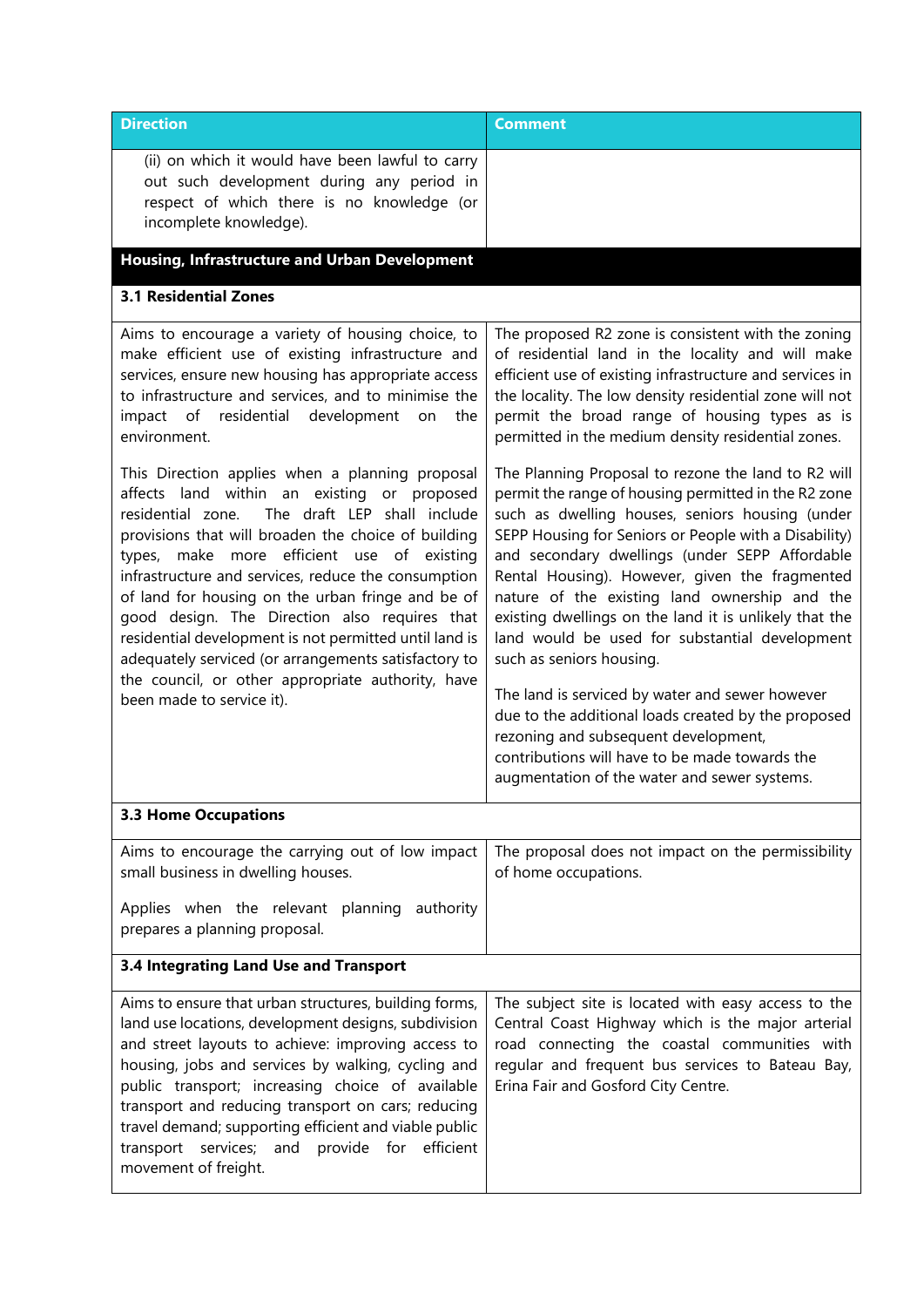| <b>Direction</b>                                                                                                                                                                                                                                                                                                                                                                                                                                                                                                                                                                                                         | <b>Comment</b>                                                                                                                                                                                                                                                                                                                                                                                                                                                                                                                                                                                                                                                                                                                                                           |
|--------------------------------------------------------------------------------------------------------------------------------------------------------------------------------------------------------------------------------------------------------------------------------------------------------------------------------------------------------------------------------------------------------------------------------------------------------------------------------------------------------------------------------------------------------------------------------------------------------------------------|--------------------------------------------------------------------------------------------------------------------------------------------------------------------------------------------------------------------------------------------------------------------------------------------------------------------------------------------------------------------------------------------------------------------------------------------------------------------------------------------------------------------------------------------------------------------------------------------------------------------------------------------------------------------------------------------------------------------------------------------------------------------------|
| (ii) on which it would have been lawful to carry<br>out such development during any period in<br>respect of which there is no knowledge (or<br>incomplete knowledge).                                                                                                                                                                                                                                                                                                                                                                                                                                                    |                                                                                                                                                                                                                                                                                                                                                                                                                                                                                                                                                                                                                                                                                                                                                                          |
| <b>Housing, Infrastructure and Urban Development</b>                                                                                                                                                                                                                                                                                                                                                                                                                                                                                                                                                                     |                                                                                                                                                                                                                                                                                                                                                                                                                                                                                                                                                                                                                                                                                                                                                                          |
| <b>3.1 Residential Zones</b>                                                                                                                                                                                                                                                                                                                                                                                                                                                                                                                                                                                             |                                                                                                                                                                                                                                                                                                                                                                                                                                                                                                                                                                                                                                                                                                                                                                          |
| Aims to encourage a variety of housing choice, to<br>make efficient use of existing infrastructure and<br>services, ensure new housing has appropriate access<br>to infrastructure and services, and to minimise the<br>impact of residential development<br>on<br>the<br>environment.                                                                                                                                                                                                                                                                                                                                   | The proposed R2 zone is consistent with the zoning<br>of residential land in the locality and will make<br>efficient use of existing infrastructure and services in<br>the locality. The low density residential zone will not<br>permit the broad range of housing types as is<br>permitted in the medium density residential zones.                                                                                                                                                                                                                                                                                                                                                                                                                                    |
| This Direction applies when a planning proposal<br>affects land within an existing or proposed<br>The draft LEP shall include<br>residential zone.<br>provisions that will broaden the choice of building<br>types, make more efficient use of existing<br>infrastructure and services, reduce the consumption<br>of land for housing on the urban fringe and be of<br>good design. The Direction also requires that<br>residential development is not permitted until land is<br>adequately serviced (or arrangements satisfactory to<br>the council, or other appropriate authority, have<br>been made to service it). | The Planning Proposal to rezone the land to R2 will<br>permit the range of housing permitted in the R2 zone<br>such as dwelling houses, seniors housing (under<br>SEPP Housing for Seniors or People with a Disability)<br>and secondary dwellings (under SEPP Affordable<br>Rental Housing). However, given the fragmented<br>nature of the existing land ownership and the<br>existing dwellings on the land it is unlikely that the<br>land would be used for substantial development<br>such as seniors housing.<br>The land is serviced by water and sewer however<br>due to the additional loads created by the proposed<br>rezoning and subsequent development,<br>contributions will have to be made towards the<br>augmentation of the water and sewer systems. |
| <b>3.3 Home Occupations</b>                                                                                                                                                                                                                                                                                                                                                                                                                                                                                                                                                                                              |                                                                                                                                                                                                                                                                                                                                                                                                                                                                                                                                                                                                                                                                                                                                                                          |
| Aims to encourage the carrying out of low impact<br>small business in dwelling houses.<br>Applies when the relevant planning authority<br>prepares a planning proposal.                                                                                                                                                                                                                                                                                                                                                                                                                                                  | The proposal does not impact on the permissibility<br>of home occupations.                                                                                                                                                                                                                                                                                                                                                                                                                                                                                                                                                                                                                                                                                               |
| 3.4 Integrating Land Use and Transport                                                                                                                                                                                                                                                                                                                                                                                                                                                                                                                                                                                   |                                                                                                                                                                                                                                                                                                                                                                                                                                                                                                                                                                                                                                                                                                                                                                          |
| Aims to ensure that urban structures, building forms,<br>land use locations, development designs, subdivision<br>and street layouts to achieve: improving access to<br>housing, jobs and services by walking, cycling and<br>public transport; increasing choice of available<br>transport and reducing transport on cars; reducing<br>travel demand; supporting efficient and viable public<br>transport services;<br>and provide for efficient<br>movement of freight.                                                                                                                                                 | The subject site is located with easy access to the<br>Central Coast Highway which is the major arterial<br>road connecting the coastal communities with<br>regular and frequent bus services to Bateau Bay,<br>Erina Fair and Gosford City Centre.                                                                                                                                                                                                                                                                                                                                                                                                                                                                                                                      |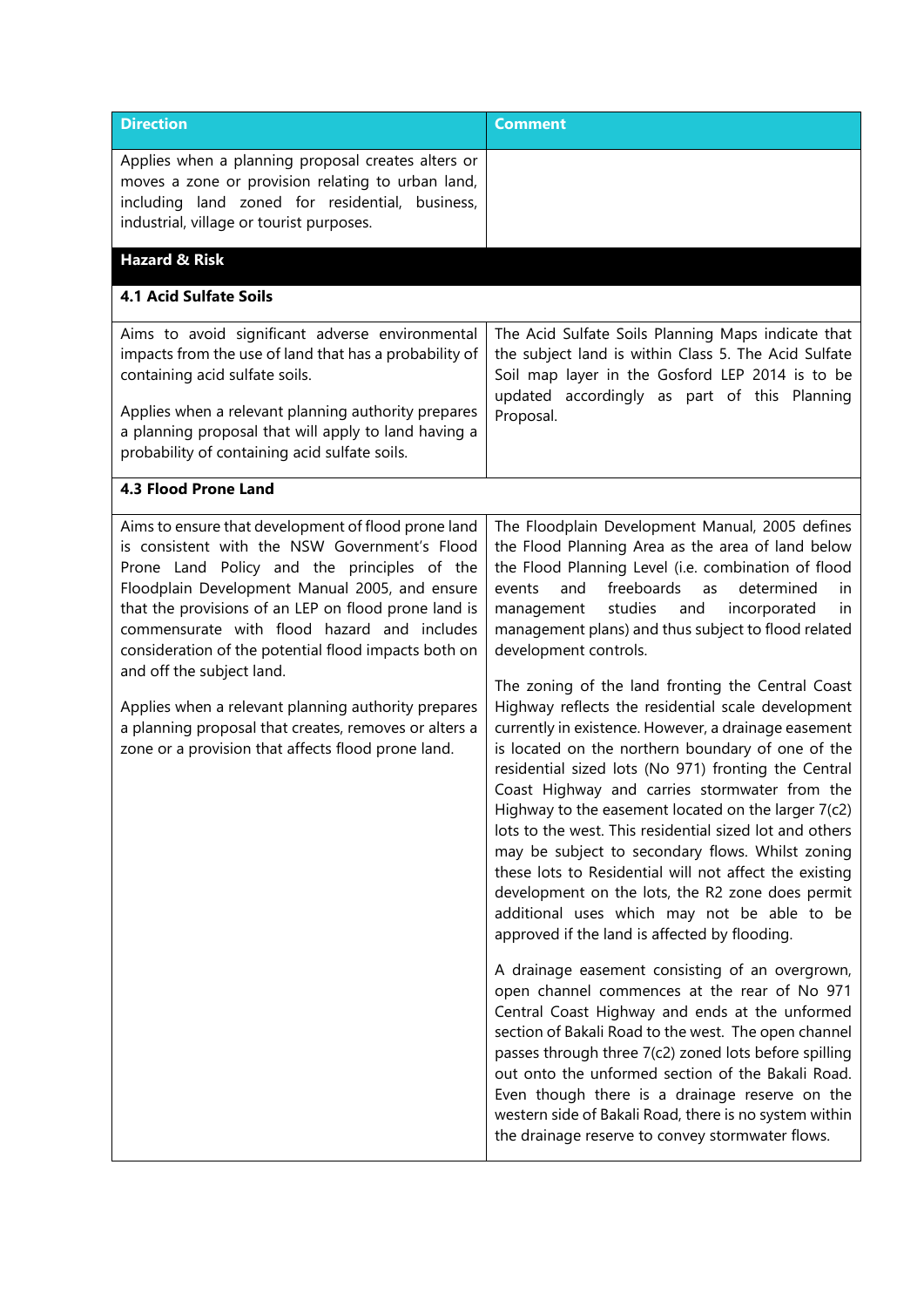| <b>Direction</b>                                                                                                                                                                                                                                                                                                                                                                                                                                                                                                                                                        | <b>Comment</b>                                                                                                                                                                                                                                                                                                                                                                                                                                                                                                                                                                                                                                                                                                                                                                                                                                                                                                                                                                                                                                                            |
|-------------------------------------------------------------------------------------------------------------------------------------------------------------------------------------------------------------------------------------------------------------------------------------------------------------------------------------------------------------------------------------------------------------------------------------------------------------------------------------------------------------------------------------------------------------------------|---------------------------------------------------------------------------------------------------------------------------------------------------------------------------------------------------------------------------------------------------------------------------------------------------------------------------------------------------------------------------------------------------------------------------------------------------------------------------------------------------------------------------------------------------------------------------------------------------------------------------------------------------------------------------------------------------------------------------------------------------------------------------------------------------------------------------------------------------------------------------------------------------------------------------------------------------------------------------------------------------------------------------------------------------------------------------|
| Applies when a planning proposal creates alters or<br>moves a zone or provision relating to urban land,<br>including land zoned for residential, business,<br>industrial, village or tourist purposes.                                                                                                                                                                                                                                                                                                                                                                  |                                                                                                                                                                                                                                                                                                                                                                                                                                                                                                                                                                                                                                                                                                                                                                                                                                                                                                                                                                                                                                                                           |
| <b>Hazard &amp; Risk</b>                                                                                                                                                                                                                                                                                                                                                                                                                                                                                                                                                |                                                                                                                                                                                                                                                                                                                                                                                                                                                                                                                                                                                                                                                                                                                                                                                                                                                                                                                                                                                                                                                                           |
| <b>4.1 Acid Sulfate Soils</b>                                                                                                                                                                                                                                                                                                                                                                                                                                                                                                                                           |                                                                                                                                                                                                                                                                                                                                                                                                                                                                                                                                                                                                                                                                                                                                                                                                                                                                                                                                                                                                                                                                           |
| Aims to avoid significant adverse environmental<br>impacts from the use of land that has a probability of<br>containing acid sulfate soils.<br>Applies when a relevant planning authority prepares<br>a planning proposal that will apply to land having a<br>probability of containing acid sulfate soils.                                                                                                                                                                                                                                                             | The Acid Sulfate Soils Planning Maps indicate that<br>the subject land is within Class 5. The Acid Sulfate<br>Soil map layer in the Gosford LEP 2014 is to be<br>updated accordingly as part of this Planning<br>Proposal.                                                                                                                                                                                                                                                                                                                                                                                                                                                                                                                                                                                                                                                                                                                                                                                                                                                |
| <b>4.3 Flood Prone Land</b>                                                                                                                                                                                                                                                                                                                                                                                                                                                                                                                                             |                                                                                                                                                                                                                                                                                                                                                                                                                                                                                                                                                                                                                                                                                                                                                                                                                                                                                                                                                                                                                                                                           |
| Aims to ensure that development of flood prone land<br>is consistent with the NSW Government's Flood<br>Prone Land Policy and the principles of the<br>Floodplain Development Manual 2005, and ensure<br>that the provisions of an LEP on flood prone land is<br>commensurate with flood hazard and includes<br>consideration of the potential flood impacts both on<br>and off the subject land.<br>Applies when a relevant planning authority prepares<br>a planning proposal that creates, removes or alters a<br>zone or a provision that affects flood prone land. | The Floodplain Development Manual, 2005 defines<br>the Flood Planning Area as the area of land below<br>the Flood Planning Level (i.e. combination of flood<br>and<br>freeboards<br>as determined<br>events<br>in<br>management studies<br>and<br>incorporated<br>in<br>management plans) and thus subject to flood related<br>development controls.<br>The zoning of the land fronting the Central Coast<br>Highway reflects the residential scale development<br>currently in existence. However, a drainage easement<br>is located on the northern boundary of one of the<br>residential sized lots (No 971) fronting the Central<br>Coast Highway and carries stormwater from the<br>Highway to the easement located on the larger 7(c2)<br>lots to the west. This residential sized lot and others<br>may be subject to secondary flows. Whilst zoning<br>these lots to Residential will not affect the existing<br>development on the lots, the R2 zone does permit<br>additional uses which may not be able to be<br>approved if the land is affected by flooding. |
|                                                                                                                                                                                                                                                                                                                                                                                                                                                                                                                                                                         | A drainage easement consisting of an overgrown,<br>open channel commences at the rear of No 971<br>Central Coast Highway and ends at the unformed<br>section of Bakali Road to the west. The open channel<br>passes through three 7(c2) zoned lots before spilling<br>out onto the unformed section of the Bakali Road.<br>Even though there is a drainage reserve on the<br>western side of Bakali Road, there is no system within<br>the drainage reserve to convey stormwater flows.                                                                                                                                                                                                                                                                                                                                                                                                                                                                                                                                                                                   |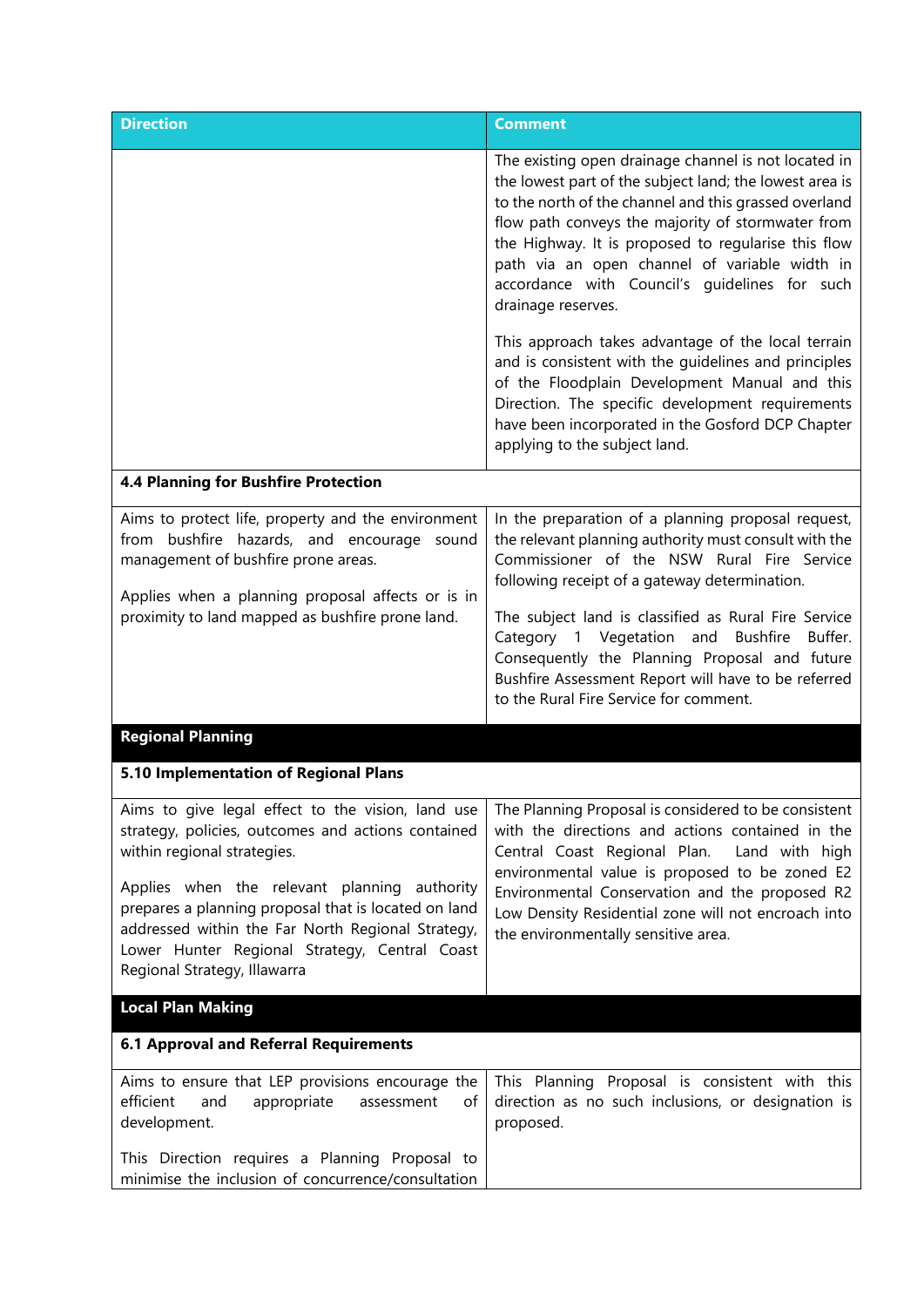| <b>Direction</b>                                                                                                                                                                                                                                                                                                                | <b>Comment</b>                                                                                                                                                                                                                                                                                                                                                                                                                                                           |
|---------------------------------------------------------------------------------------------------------------------------------------------------------------------------------------------------------------------------------------------------------------------------------------------------------------------------------|--------------------------------------------------------------------------------------------------------------------------------------------------------------------------------------------------------------------------------------------------------------------------------------------------------------------------------------------------------------------------------------------------------------------------------------------------------------------------|
|                                                                                                                                                                                                                                                                                                                                 | The existing open drainage channel is not located in<br>the lowest part of the subject land; the lowest area is<br>to the north of the channel and this grassed overland<br>flow path conveys the majority of stormwater from<br>the Highway. It is proposed to regularise this flow<br>path via an open channel of variable width in<br>accordance with Council's quidelines for such<br>drainage reserves.                                                             |
|                                                                                                                                                                                                                                                                                                                                 | This approach takes advantage of the local terrain<br>and is consistent with the guidelines and principles<br>of the Floodplain Development Manual and this<br>Direction. The specific development requirements<br>have been incorporated in the Gosford DCP Chapter<br>applying to the subject land.                                                                                                                                                                    |
| <b>4.4 Planning for Bushfire Protection</b>                                                                                                                                                                                                                                                                                     |                                                                                                                                                                                                                                                                                                                                                                                                                                                                          |
| Aims to protect life, property and the environment<br>from bushfire hazards, and encourage sound<br>management of bushfire prone areas.<br>Applies when a planning proposal affects or is in<br>proximity to land mapped as bushfire prone land.                                                                                | In the preparation of a planning proposal request,<br>the relevant planning authority must consult with the<br>Commissioner of the NSW Rural Fire Service<br>following receipt of a gateway determination.<br>The subject land is classified as Rural Fire Service<br>Category 1 Vegetation and<br>Bushfire<br>Buffer.<br>Consequently the Planning Proposal and future<br>Bushfire Assessment Report will have to be referred<br>to the Rural Fire Service for comment. |
| <b>Regional Planning</b>                                                                                                                                                                                                                                                                                                        |                                                                                                                                                                                                                                                                                                                                                                                                                                                                          |
| 5.10 Implementation of Regional Plans                                                                                                                                                                                                                                                                                           |                                                                                                                                                                                                                                                                                                                                                                                                                                                                          |
| strategy, policies, outcomes and actions contained<br>within regional strategies.<br>Applies when the relevant planning authority<br>prepares a planning proposal that is located on land<br>addressed within the Far North Regional Strategy,<br>Lower Hunter Regional Strategy, Central Coast<br>Regional Strategy, Illawarra | Aims to give legal effect to the vision, land use $\vert$ The Planning Proposal is considered to be consistent<br>with the directions and actions contained in the<br>Central Coast Regional Plan.<br>Land with high<br>environmental value is proposed to be zoned E2<br>Environmental Conservation and the proposed R2<br>Low Density Residential zone will not encroach into<br>the environmentally sensitive area.                                                   |
| <b>Local Plan Making</b>                                                                                                                                                                                                                                                                                                        |                                                                                                                                                                                                                                                                                                                                                                                                                                                                          |
| <b>6.1 Approval and Referral Requirements</b>                                                                                                                                                                                                                                                                                   |                                                                                                                                                                                                                                                                                                                                                                                                                                                                          |
| Aims to ensure that LEP provisions encourage the<br>efficient<br>and<br>appropriate<br>of<br>assessment<br>development.                                                                                                                                                                                                         | This Planning Proposal is consistent with this<br>direction as no such inclusions, or designation is<br>proposed.                                                                                                                                                                                                                                                                                                                                                        |
| This Direction requires a Planning Proposal to<br>minimise the inclusion of concurrence/consultation                                                                                                                                                                                                                            |                                                                                                                                                                                                                                                                                                                                                                                                                                                                          |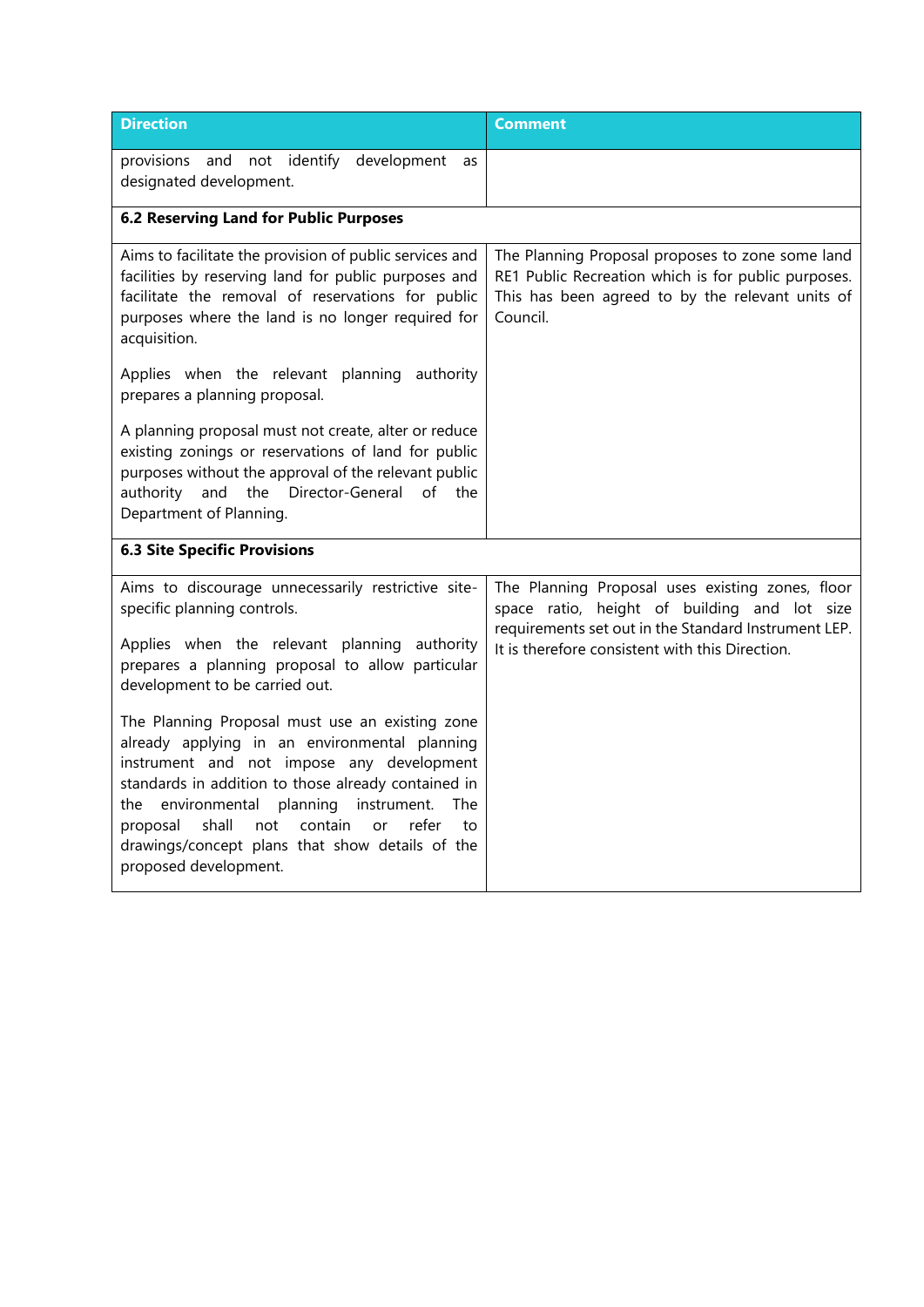| <b>Direction</b>                                                                                                                                                                                                                                                                                                                                                                                       | <b>Comment</b>                                                                                                                                                                                              |
|--------------------------------------------------------------------------------------------------------------------------------------------------------------------------------------------------------------------------------------------------------------------------------------------------------------------------------------------------------------------------------------------------------|-------------------------------------------------------------------------------------------------------------------------------------------------------------------------------------------------------------|
| provisions and not identify<br>development<br>as<br>designated development.                                                                                                                                                                                                                                                                                                                            |                                                                                                                                                                                                             |
| <b>6.2 Reserving Land for Public Purposes</b>                                                                                                                                                                                                                                                                                                                                                          |                                                                                                                                                                                                             |
| Aims to facilitate the provision of public services and<br>facilities by reserving land for public purposes and<br>facilitate the removal of reservations for public<br>purposes where the land is no longer required for<br>acquisition.                                                                                                                                                              | The Planning Proposal proposes to zone some land<br>RE1 Public Recreation which is for public purposes.<br>This has been agreed to by the relevant units of<br>Council.                                     |
| Applies when the relevant planning authority<br>prepares a planning proposal.                                                                                                                                                                                                                                                                                                                          |                                                                                                                                                                                                             |
| A planning proposal must not create, alter or reduce<br>existing zonings or reservations of land for public<br>purposes without the approval of the relevant public<br>the Director-General<br>authority<br>and<br>of the<br>Department of Planning.                                                                                                                                                   |                                                                                                                                                                                                             |
| <b>6.3 Site Specific Provisions</b>                                                                                                                                                                                                                                                                                                                                                                    |                                                                                                                                                                                                             |
| Aims to discourage unnecessarily restrictive site-<br>specific planning controls.<br>Applies when the relevant planning<br>authority<br>prepares a planning proposal to allow particular<br>development to be carried out.                                                                                                                                                                             | The Planning Proposal uses existing zones, floor<br>space ratio, height of building and lot size<br>requirements set out in the Standard Instrument LEP.<br>It is therefore consistent with this Direction. |
| The Planning Proposal must use an existing zone<br>already applying in an environmental planning<br>instrument and not impose any development<br>standards in addition to those already contained in<br>environmental<br>planning<br>instrument.<br>The<br>the<br>contain<br>shall<br>refer<br>proposal<br>not<br>or<br>to<br>drawings/concept plans that show details of the<br>proposed development. |                                                                                                                                                                                                             |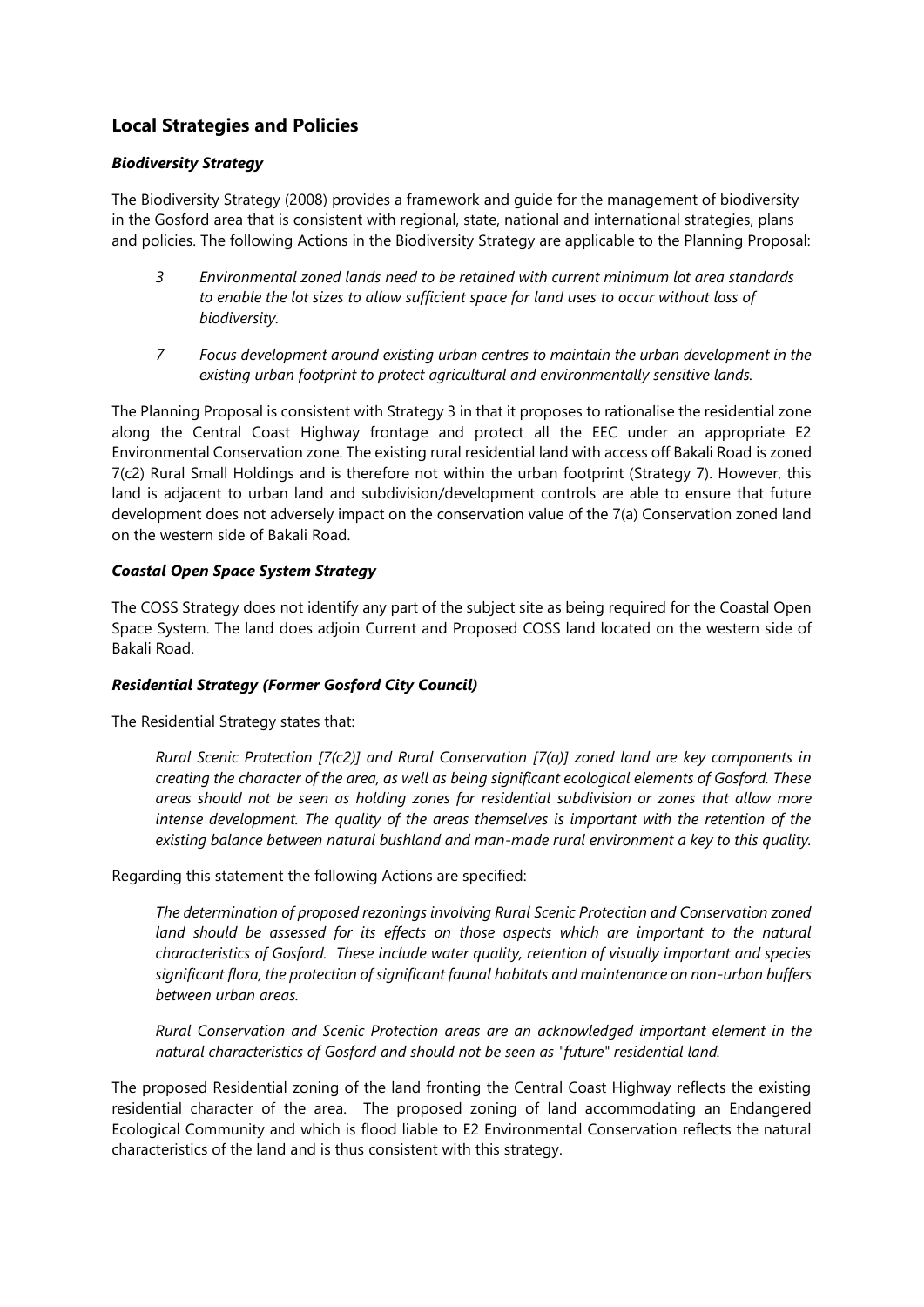## **Local Strategies and Policies**

## *Biodiversity Strategy*

The Biodiversity Strategy (2008) provides a framework and guide for the management of biodiversity in the Gosford area that is consistent with regional, state, national and international strategies, plans and policies. The following Actions in the Biodiversity Strategy are applicable to the Planning Proposal:

- *3 Environmental zoned lands need to be retained with current minimum lot area standards to enable the lot sizes to allow sufficient space for land uses to occur without loss of biodiversity.*
- *7 Focus development around existing urban centres to maintain the urban development in the existing urban footprint to protect agricultural and environmentally sensitive lands.*

The Planning Proposal is consistent with Strategy 3 in that it proposes to rationalise the residential zone along the Central Coast Highway frontage and protect all the EEC under an appropriate E2 Environmental Conservation zone. The existing rural residential land with access off Bakali Road is zoned 7(c2) Rural Small Holdings and is therefore not within the urban footprint (Strategy 7). However, this land is adjacent to urban land and subdivision/development controls are able to ensure that future development does not adversely impact on the conservation value of the 7(a) Conservation zoned land on the western side of Bakali Road.

## *Coastal Open Space System Strategy*

The COSS Strategy does not identify any part of the subject site as being required for the Coastal Open Space System. The land does adjoin Current and Proposed COSS land located on the western side of Bakali Road.

#### *Residential Strategy (Former Gosford City Council)*

The Residential Strategy states that:

*Rural Scenic Protection [7(c2)] and Rural Conservation [7(a)] zoned land are key components in creating the character of the area, as well as being significant ecological elements of Gosford. These areas should not be seen as holding zones for residential subdivision or zones that allow more intense development. The quality of the areas themselves is important with the retention of the existing balance between natural bushland and man-made rural environment a key to this quality.*

Regarding this statement the following Actions are specified:

*The determination of proposed rezonings involving Rural Scenic Protection and Conservation zoned*  land should be assessed for its effects on those aspects which are important to the natural *characteristics of Gosford. These include water quality, retention of visually important and species significant flora, the protection of significant faunal habitats and maintenance on non-urban buffers between urban areas.*

*Rural Conservation and Scenic Protection areas are an acknowledged important element in the natural characteristics of Gosford and should not be seen as "future" residential land.*

The proposed Residential zoning of the land fronting the Central Coast Highway reflects the existing residential character of the area. The proposed zoning of land accommodating an Endangered Ecological Community and which is flood liable to E2 Environmental Conservation reflects the natural characteristics of the land and is thus consistent with this strategy.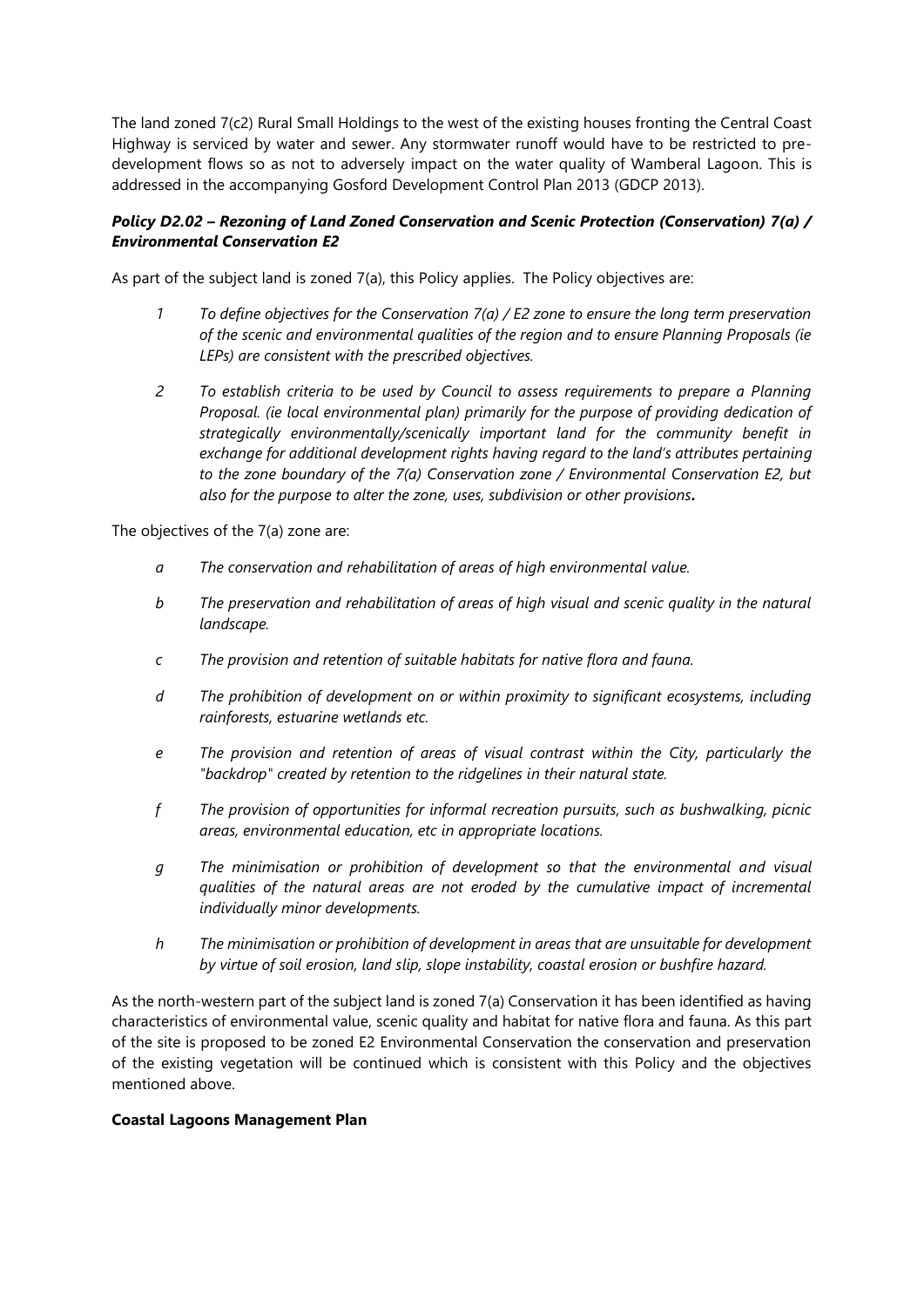The land zoned 7(c2) Rural Small Holdings to the west of the existing houses fronting the Central Coast Highway is serviced by water and sewer. Any stormwater runoff would have to be restricted to predevelopment flows so as not to adversely impact on the water quality of Wamberal Lagoon. This is addressed in the accompanying Gosford Development Control Plan 2013 (GDCP 2013).

## *Policy D2.02 – Rezoning of Land Zoned Conservation and Scenic Protection (Conservation) 7(a) / Environmental Conservation E2*

As part of the subject land is zoned 7(a), this Policy applies. The Policy objectives are:

- *1 To define objectives for the Conservation 7(a) / E2 zone to ensure the long term preservation of the scenic and environmental qualities of the region and to ensure Planning Proposals (ie LEPs) are consistent with the prescribed objectives.*
- *2 To establish criteria to be used by Council to assess requirements to prepare a Planning Proposal. (ie local environmental plan) primarily for the purpose of providing dedication of strategically environmentally/scenically important land for the community benefit in exchange for additional development rights having regard to the land's attributes pertaining to the zone boundary of the 7(a) Conservation zone / Environmental Conservation E2, but also for the purpose to alter the zone, uses, subdivision or other provisions.*

The objectives of the 7(a) zone are:

- *a The conservation and rehabilitation of areas of high environmental value.*
- *b The preservation and rehabilitation of areas of high visual and scenic quality in the natural landscape.*
- *c The provision and retention of suitable habitats for native flora and fauna.*
- *d The prohibition of development on or within proximity to significant ecosystems, including rainforests, estuarine wetlands etc.*
- *e The provision and retention of areas of visual contrast within the City, particularly the "backdrop" created by retention to the ridgelines in their natural state.*
- *f The provision of opportunities for informal recreation pursuits, such as bushwalking, picnic areas, environmental education, etc in appropriate locations.*
- *g The minimisation or prohibition of development so that the environmental and visual qualities of the natural areas are not eroded by the cumulative impact of incremental individually minor developments.*
- *h The minimisation or prohibition of development in areas that are unsuitable for development by virtue of soil erosion, land slip, slope instability, coastal erosion or bushfire hazard.*

As the north-western part of the subject land is zoned 7(a) Conservation it has been identified as having characteristics of environmental value, scenic quality and habitat for native flora and fauna. As this part of the site is proposed to be zoned E2 Environmental Conservation the conservation and preservation of the existing vegetation will be continued which is consistent with this Policy and the objectives mentioned above.

#### **Coastal Lagoons Management Plan**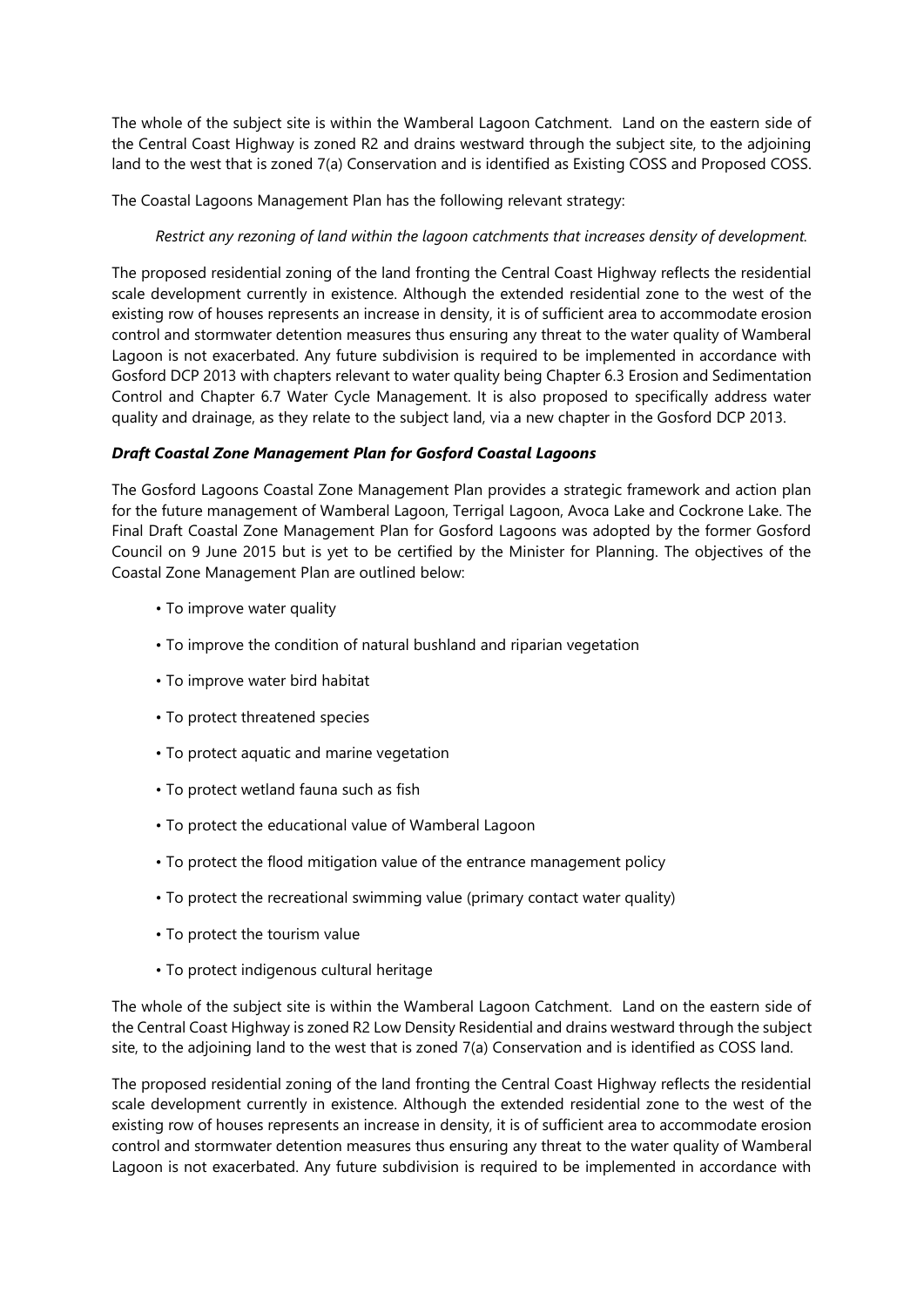The whole of the subject site is within the Wamberal Lagoon Catchment. Land on the eastern side of the Central Coast Highway is zoned R2 and drains westward through the subject site, to the adjoining land to the west that is zoned 7(a) Conservation and is identified as Existing COSS and Proposed COSS.

The Coastal Lagoons Management Plan has the following relevant strategy:

*Restrict any rezoning of land within the lagoon catchments that increases density of development.* 

The proposed residential zoning of the land fronting the Central Coast Highway reflects the residential scale development currently in existence. Although the extended residential zone to the west of the existing row of houses represents an increase in density, it is of sufficient area to accommodate erosion control and stormwater detention measures thus ensuring any threat to the water quality of Wamberal Lagoon is not exacerbated. Any future subdivision is required to be implemented in accordance with Gosford DCP 2013 with chapters relevant to water quality being Chapter 6.3 Erosion and Sedimentation Control and Chapter 6.7 Water Cycle Management. It is also proposed to specifically address water quality and drainage, as they relate to the subject land, via a new chapter in the Gosford DCP 2013.

## *Draft Coastal Zone Management Plan for Gosford Coastal Lagoons*

The Gosford Lagoons Coastal Zone Management Plan provides a strategic framework and action plan for the future management of Wamberal Lagoon, Terrigal Lagoon, Avoca Lake and Cockrone Lake. The Final Draft Coastal Zone Management Plan for Gosford Lagoons was adopted by the former Gosford Council on 9 June 2015 but is yet to be certified by the Minister for Planning. The objectives of the Coastal Zone Management Plan are outlined below:

- To improve water quality
- To improve the condition of natural bushland and riparian vegetation
- To improve water bird habitat
- To protect threatened species
- To protect aquatic and marine vegetation
- To protect wetland fauna such as fish
- To protect the educational value of Wamberal Lagoon
- To protect the flood mitigation value of the entrance management policy
- To protect the recreational swimming value (primary contact water quality)
- To protect the tourism value
- To protect indigenous cultural heritage

The whole of the subject site is within the Wamberal Lagoon Catchment. Land on the eastern side of the Central Coast Highway is zoned R2 Low Density Residential and drains westward through the subject site, to the adjoining land to the west that is zoned 7(a) Conservation and is identified as COSS land.

The proposed residential zoning of the land fronting the Central Coast Highway reflects the residential scale development currently in existence. Although the extended residential zone to the west of the existing row of houses represents an increase in density, it is of sufficient area to accommodate erosion control and stormwater detention measures thus ensuring any threat to the water quality of Wamberal Lagoon is not exacerbated. Any future subdivision is required to be implemented in accordance with